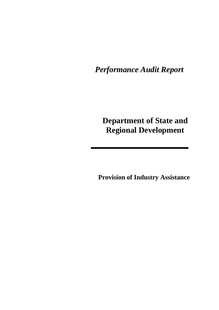*Performance Audit Report*

## **Department of State and Regional Development**

**Provision of Industry Assistance**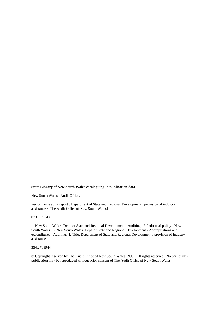#### **State Library of New South Wales cataloguing-in publication data**

New South Wales. Audit Office.

Performance audit report : Department of State and Regional Development : provision of industry assistance / [The Audit Office of New South Wales]

#### 073138914X

1. New South Wales. Dept. of State and Regional Development - Auditing. 2. Industrial policy - New South Wales. 3. New South Wales. Dept. of State and Regional Development - Appropriations and expenditures - Auditing. I. Title: Department of State and Regional Development : provision of industry assistance.

#### 354.2709944

© Copyright reserved by The Audit Office of New South Wales 1998. All rights reserved. No part of this publication may be reproduced without prior consent of The Audit Office of New South Wales.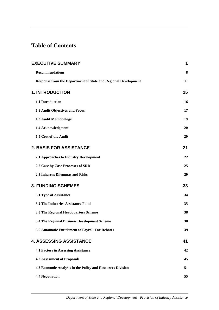## **Table of Contents**

| <b>EXECUTIVE SUMMARY</b>                                              | 1  |
|-----------------------------------------------------------------------|----|
| <b>Recommendations</b>                                                | 8  |
| <b>Response from the Department of State and Regional Development</b> | 11 |
| <b>1. INTRODUCTION</b>                                                | 15 |
| 1.1 Introduction                                                      | 16 |
| 1.2 Audit Objectives and Focus                                        | 17 |
| 1.3 Audit Methodology                                                 | 19 |
| 1.4 Acknowledgment                                                    | 20 |
| 1.5 Cost of the Audit                                                 | 20 |
| <b>2. BASIS FOR ASSISTANCE</b>                                        | 21 |
| 2.1 Approaches to Industry Development                                | 22 |
| 2.2 Case by Case Processes of SRD                                     | 25 |
| 2.3 Inherent Dilemmas and Risks                                       | 29 |
| <b>3. FUNDING SCHEMES</b>                                             | 33 |
| 3.1 Type of Assistance                                                | 34 |
| <b>3.2 The Industries Assistance Fund</b>                             | 35 |
| 3.3 The Regional Headquarters Scheme                                  | 38 |
| 3.4 The Regional Business Development Scheme                          | 38 |
| 3.5 Automatic Entitlement to Payroll Tax Rebates                      | 39 |
| <b>4. ASSESSING ASSISTANCE</b>                                        | 41 |
| <b>4.1 Factors in Assessing Assistance</b>                            | 42 |
| <b>4.2 Assessment of Proposals</b>                                    | 45 |
| 4.3 Economic Analysis in the Policy and Resources Division            | 51 |
| <b>4.4 Negotiation</b>                                                | 55 |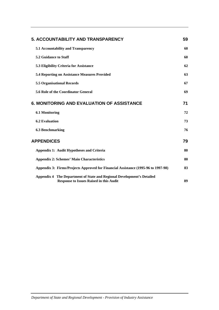| <b>5. ACCOUNTABILITY AND TRANSPARENCY</b>                                                                                   |    |
|-----------------------------------------------------------------------------------------------------------------------------|----|
| 5.1 Accountability and Transparency                                                                                         | 60 |
| 5.2 Guidance to Staff                                                                                                       | 60 |
| 5.3 Eligibility Criteria for Assistance                                                                                     | 62 |
| <b>5.4 Reporting on Assistance Measures Provided</b>                                                                        | 63 |
| <b>5.5 Organisational Records</b>                                                                                           | 67 |
| 5.6 Role of the Coordinator General                                                                                         | 69 |
| <b>6. MONITORING AND EVALUATION OF ASSISTANCE</b>                                                                           | 71 |
| <b>6.1 Monitoring</b>                                                                                                       | 72 |
| <b>6.2 Evaluation</b>                                                                                                       | 73 |
| <b>6.3 Benchmarking</b>                                                                                                     | 76 |
| <b>APPENDICES</b>                                                                                                           | 79 |
| <b>Appendix 1: Audit Hypotheses and Criteria</b>                                                                            | 80 |
| <b>Appendix 2: Schemes' Main Characteristics</b>                                                                            | 80 |
| Appendix 3: Firms/Projects Approved for Financial Assistance (1995-96 to 1997-98)                                           | 83 |
| The Department of State and Regional Development's Detailed<br>Appendix 4<br><b>Response to Issues Raised in this Audit</b> | 89 |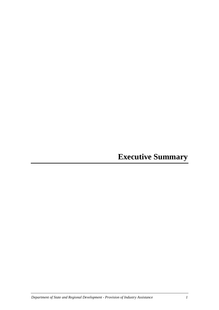**Executive Summary**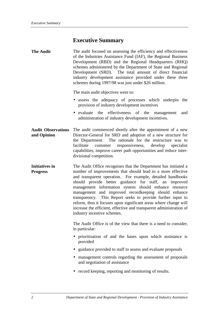## **Executive Summary**

| The audit focused on assessing the efficiency and effectiveness |  |  |
|-----------------------------------------------------------------|--|--|
| of the Industries Assistance Fund (IAF), the Regional Business  |  |  |
| Development (RBD) and the Regional Headquarters (RHQ)           |  |  |
| schemes administered by the Department of State and Regional    |  |  |
| Development (SRD). The total amount of direct financial         |  |  |
| industry development assistance provided under these three      |  |  |
| schemes during 1997/98 was just under \$26 million.             |  |  |
|                                                                 |  |  |

The main audit objectives were to:

- assess the adequacy of processes which underpin the provision of industry development incentives
- evaluate the effectiveness of the management and administration of industry development incentives.
- **Audit Observations and Opinion** The audit commenced shortly after the appointment of a new Director-General for SRD and adoption of a new structure for the Department. The rationale for the restructure was to facilitate customer responsiveness, develop specialist capabilities, improve career path opportunities and reduce interdivisional competition.
- **Initiatives in Progress** The Audit Office recognises that the Department has initiated a number of improvements that should lead to a more effective and transparent operation. For example, detailed handbooks should provide better guidance for staff, an improved management information system should enhance resource management and improved recordkeeping should enhance transparency. This Report seeks to provide further input to reform, thus it focuses upon significant areas where change will increase the efficient, effective and transparent administration of industry incentive schemes.

The Audit Office is of the view that there is a need to consider, in particular:

- prioritisation of and the bases upon which assistance is provided
- guidance provided to staff to assess and evaluate proposals
- management controls regarding the assessment of proposals and negotiation of assistance
- record keeping, reporting and monitoring of results.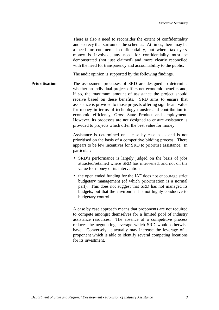There is also a need to reconsider the extent of confidentiality and secrecy that surrounds the schemes. At times, there may be a need for commercial confidentiality, but where taxpayers' money is involved, any need for confidentiality must be demonstrated (not just claimed) and more clearly reconciled with the need for transparency and accountability to the public.

The audit opinion is supported by the following findings.

**Prioritisation** The assessment processes of SRD are designed to determine whether an individual project offers net economic benefits and, if so, the maximum amount of assistance the project should receive based on these benefits. SRD aims to ensure that assistance is provided to those projects offering significant value for money in terms of technology transfer and contribution to economic efficiency, Gross State Product and employment. However, its processes are not designed to ensure assistance is provided to projects which offer the best value for money.

> Assistance is determined on a case by case basis and is not prioritised on the basis of a competitive bidding process. There appears to be few incentives for SRD to prioritise assistance. In particular:

- SRD's performance is largely judged on the basis of jobs attracted/retained where SRD has intervened, and not on the value for money of its intervention
- the open ended funding for the IAF does not encourage strict budgetary management (of which prioritisation is a normal part). This does not suggest that SRD has not managed its budgets, but that the environment is not highly conducive to budgetary control.

A case by case approach means that proponents are not required to compete amongst themselves for a limited pool of industry assistance resources. The absence of a competitive process reduces the negotiating leverage which SRD would otherwise have. Conversely, it actually may increase the leverage of a proponent which is able to identify several competing locations for its investment.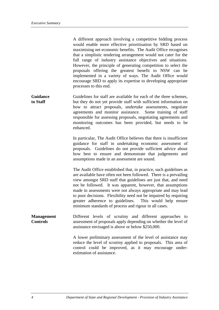A different approach involving a competitive bidding process would enable more effective prioritisation by SRD based on maximising net economic benefits. The Audit Office recognises that a simplistic tendering arrangement would not cater for the full range of industry assistance objectives and situations. However, the principle of generating competition to select the proposals offering the greatest benefit to NSW can be implemented in a variety of ways. The Audit Office would encourage SRD to apply its expertise to developing appropriate processes to this end.

**Guidance to Staff** Guidelines for staff are available for each of the three schemes, but they do not yet provide staff with sufficient information on how to attract proposals, undertake assessments, negotiate agreements and monitor assistance. Some training of staff responsible for assessing proposals, negotiating agreements and monitoring outcomes has been provided, but needs to be enhanced.

> In particular, The Audit Office believes that there is insufficient guidance for staff in undertaking economic assessment of proposals. Guidelines do not provide sufficient advice about how best to ensure and demonstrate that judgements and assumptions made in an assessment are sound.

The Audit Office established that, in practice, such guidelines as are available have often not been followed. There is a prevailing view amongst SRD staff that guidelines are just that, and need not be followed. It was apparent, however, that assumptions made in assessments were not always appropriate and may lead to poor decisions. Flexibility need not be impaired by requiring greater adherence to guidelines. This would help ensure minimum standards of process and rigour in all cases.

**Management Controls** Different levels of scrutiny and different approaches to assessment of proposals apply depending on whether the level of assistance envisaged is above or below \$250,000.

> A lower preliminary assessment of the level of assistance may reduce the level of scrutiny applied to proposals. This area of control could be improved, as it may encourage underestimation of assistance.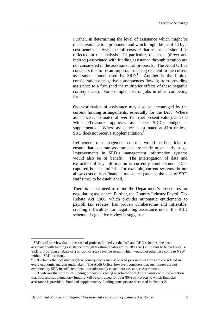Further, in determining the level of assistance which might be made available to a proponent and which might be justified by a cost benefit analysis, the full costs of that assistance should be reflected in the analysis. In particular, the costs (direct and indirect) associated with funding assistance through taxation are not considered in the assessment of proposals. The Audit Office considers this to be an important missing element in the current assessment model used by  $SRD$ .<sup>1</sup> Another is the limited consideration of negative consequences flowing from providing assistance to a firm (and the multiplier effects of these negative consequences). For example, loss of jobs in other competing firms. $^{2}$ 

Over-estimation of assistance may also be encouraged by the current funding arrangements, especially for the IAF. Where assistance is estimated at over \$1m (net present value), and the Minister/Treasurer approves assistance, SRD's budget is supplemented. Where assistance is estimated at \$1m or less, SRD does not receive supplementation.<sup>3</sup>

Refinement of management controls would be beneficial to ensure that accurate assessments are made at an early stage. Improvements in SRD's management information systems would also be of benefit. The interrogation of data and extraction of key information is currently cumbersome. Data captured is also limited. For example, current systems do not allow costs of non-financial assistance (such as the cost of SRD staff time) to be established.

There is also a need to refine the Department's procedures for negotiating assistance. Further, the Country Industry Payroll Tax Rebate Act 1966, which provides automatic entitlements to payroll tax rebates, has proven cumbersome and inflexible, creating difficulties for negotiating assistance under the RBD scheme. Legislative review is suggested.

 $1$  SRD is of the view that in the case of projects funded via the IAF and RHQ schemes, the costs associated with funding assistance through taxation rebates are usually zero (ie. no cost to budget because SRD is providing a rebate of a portion of a tax revenue stream which would not otherwise come to NSW without SRD's action).

 $2^{2}$  SRD claims that possible negative consequences such as loss of jobs in other firms are considered in every economic analysis undertaken. The Audit Office, however, considers that such issues are not examined by SRD in sufficient detail nor adequately costed into assistance assessments.

<sup>&</sup>lt;sup>3</sup> SRD advises that reform of funding processes is being negotiated with The Treasury with the intention that pool and supplementary funding will be combined for over 80% of projects to which financial assistance is provided. Pool and supplementary funding concepts are discussed in chapter 3.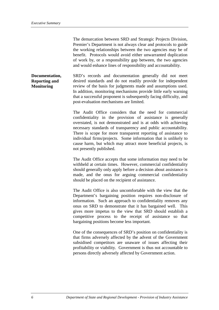The demarcation between SRD and Strategic Projects Division, Premier's Department is not always clear and protocols to guide the working relationships between the two agencies may be of benefit. Protocols would avoid either unwarranted duplication of work by, or a responsibility gap between, the two agencies and would enhance lines of responsibility and accountability.

**Documentation, Reporting and Monitoring** SRD's records and documentation generally did not meet desired standards and do not readily provide for independent review of the basis for judgments made and assumptions used. In addition, monitoring mechanisms provide little early warning that a successful proponent is subsequently facing difficulty, and post-evaluation mechanisms are limited.

> The Audit Office considers that the need for commercial confidentiality in the provision of assistance is generally overstated, is not demonstrated and is at odds with achieving necessary standards of transparency and public accountability. There is scope for more transparent reporting of assistance to individual firms/projects. Some information that is unlikely to cause harm, but which may attract more beneficial projects, is not presently published.

> The Audit Office accepts that some information may need to be withheld at certain times. However, commercial confidentiality should generally only apply before a decision about assistance is made, and the onus for arguing commercial confidentiality should be placed on the recipient of assistance.

> The Audit Office is also uncomfortable with the view that the Department's bargaining position requires non-disclosure of information. Such an approach to confidentiality removes any onus on SRD to demonstrate that it has bargained well. This gives more impetus to the view that SRD should establish a competitive process to the receipt of assistance so that bargaining positions become less important.

> One of the consequences of SRD's position on confidentiality is that firms adversely affected by the advent of the Government subsidised competitors are unaware of issues affecting their profitability or viability. Government is thus not accountable to persons directly adversely affected by Government action.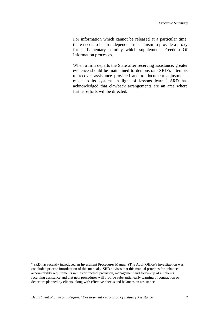For information which cannot be released at a particular time, there needs to be an independent mechanism to provide a proxy for Parliamentary scrutiny which supplements Freedom Of Information processes.

When a firm departs the State after receiving assistance, greater evidence should be maintained to demonstrate SRD's attempts to recover assistance provided and to document adjustments made to its systems in light of lessons learnt.<sup>4</sup> SRD has acknowledged that clawback arrangements are an area where further efforts will be directed.

<sup>&</sup>lt;sup>4</sup> SRD has recently introduced an Investment Procedures Manual. (The Audit Office's investigation was concluded prior to introduction of this manual). SRD advises that this manual provides for enhanced accountability requirements in the contractual provision, management and follow-up of all clients receiving assistance and that new procedures will provide substantial early warning of contraction or departure planned by clients, along with effective checks and balances on assistance.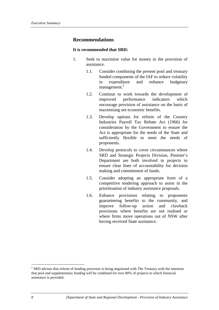### **Recommendations**

#### **It is recommended that SRD:**

- 1. Seek to maximise value for money in the provision of assistance.
	- 1.1. Consider combining the present pool and treasury funded components of the IAF to reduce volatility in expenditure and enhance budgetary management.<sup>5</sup>
	- 1.2. Continue to work towards the development of improved performance indicators which encourage provision of assistance on the basis of maximising net economic benefits.
	- 1.3. Develop options for reform of the Country Industries Payroll Tax Rebate Act (1966) for consideration by the Government to ensure the Act is appropriate for the needs of the State and sufficiently flexible to meet the needs of proponents.
	- 1.4. Develop protocols to cover circumstances where SRD and Strategic Projects Division, Premier's Department are both involved in projects to ensure clear lines of accountability for decision making and commitment of funds.
	- 1.5. Consider adopting an appropriate form of a competitive tendering approach to assist in the prioritisation of industry assistance proposals.
	- 1.6. Enhance provisions relating to proponents guaranteeing benefits to the community, and improve follow-up action and clawback provisions where benefits are not realised or where firms move operations out of NSW after having received State assistance.

<sup>&</sup>lt;sup>5</sup> SRD advises that reform of funding processes is being negotiated with The Treasury with the intention that pool and supplementary funding will be combined for over 80% of projects to which financial assistance is provided.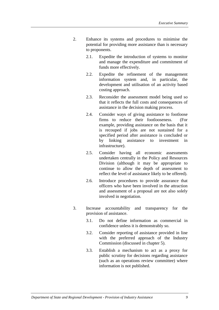- 2. Enhance its systems and procedures to minimise the potential for providing more assistance than is necessary to proponents.
	- 2.1. Expedite the introduction of systems to monitor and manage the expenditure and commitment of funds more effectively.
	- 2.2. Expedite the refinement of the management information system and, in particular, the development and utilisation of an activity based costing approach.
	- 2.3. Reconsider the assessment model being used so that it reflects the full costs and consequences of assistance in the decision making process.
	- 2.4. Consider ways of giving assistance to footloose firms to reduce their footlooseness. (For example, providing assistance on the basis that it is recouped if jobs are not sustained for a specified period after assistance is concluded or by linking assistance to investment in infrastructure).
	- 2.5. Consider having all economic assessments undertaken centrally in the Policy and Resources Division (although it may be appropriate to continue to allow the depth of assessment to reflect the level of assistance likely to be offered).
	- 2.6. Introduce procedures to provide assurance that officers who have been involved in the attraction and assessment of a proposal are not also solely involved in negotiation.
- 3. Increase accountability and transparency for the provision of assistance.
	- 3.1. Do not define information as commercial in confidence unless it is demonstrably so.
	- 3.2. Consider reporting of assistance provided in line with the preferred approach of the Industry Commission (discussed in chapter 5).
	- 3.3. Establish a mechanism to act as a proxy for public scrutiny for decisions regarding assistance (such as an operations review committee) where information is not published.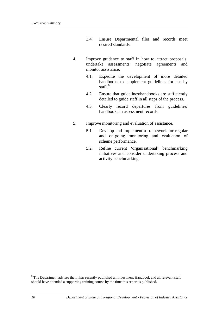- 3.4. Ensure Departmental files and records meet desired standards.
- 4. Improve guidance to staff in how to attract proposals, undertake assessments, negotiate agreements and monitor assistance.
	- 4.1. Expedite the development of more detailed handbooks to supplement guidelines for use by staff.<sup>6</sup>
	- 4.2. Ensure that guidelines/handbooks are sufficiently detailed to guide staff in all steps of the process.
	- 4.3. Clearly record departures from guidelines/ handbooks in assessment records.
- 5. Improve monitoring and evaluation of assistance.
	- 5.1. Develop and implement a framework for regular and on-going monitoring and evaluation of scheme performance.
	- 5.2. Refine current 'organisational' benchmarking initiatives and consider undertaking process and activity benchmarking.

<sup>&</sup>lt;sup>6</sup> The Department advises that it has recently published an Investment Handbook and all relevant staff should have attended a supporting training course by the time this report is published.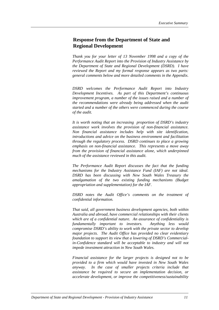## **Response from the Department of State and Regional Development**

*Thank you for your letter of 13 November 1998 and a copy of the Performance Audit Report into the Provision of Industry Assistance by the Department of State and Regional Development (DSRD). I have reviewed the Report and my formal response appears as two parts: general comments below and more detailed comments in the Appendix.*

*DSRD welcomes the Performance Audit Report into Industry Development Incentives. As part of this Department's continuous improvement program, a number of the issues raised and a number of the recommendations were already being addressed when the audit started and a number of the others were commenced during the course of the audit.*

*It is worth noting that an increasing proportion of DSRD's industry assistance work involves the provision of non-financial assistance. Non financial assistance includes help with site identification, introductions and advice on the business environment and facilitation through the regulatory process. DSRD continues to place a growing emphasis on non-financial assistance. This represents a move away from the provision of financial assistance alone, which underpinned much of the assistance reviewed in this audit.*

*The Performance Audit Report discusses the fact that the funding mechanisms for the Industry Assistance Fund (IAF) are not ideal. DSRD has been discussing with New South Wales Treasury the amalgamation of the two existing funding mechanisms (Budget appropriation and supplementation) for the IAF.*

*DSRD notes the Audit Office's comments on the treatment of confidential information.*

*That said, all government business development agencies, both within Australia and abroad, have commercial relationships with their clients which are of a confidential nature. An assurance of confidentiality is fundamentally important to investors. Anything less would compromise DSRD's ability to work with the private sector to develop major projects. The Audit Office has provided no clear evidentiary foundation to support its view that a lowering of DSRD's Commercialin-Confidence standard will be acceptable to industry and will not impede investment attraction in New South Wales.*

*Financial assistance for the larger projects is designed not to be provided to a firm which would have invested in New South Wales anyway. In the case of smaller projects criteria include that assistance be required to secure an implementation decision, or accelerate development, or improve the competitiveness/sustainability*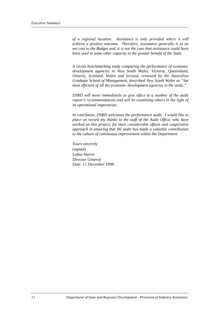*of a regional location. Assistance is only provided where it will achieve a positive outcome. Therefore, assistance generally is at no net cost to the Budget and, it is not the case that assistance could have been used in some other capacity to the greater benefit of the State.*

*A recent benchmarking study comparing the performance of economic development agencies in New South Wales, Victoria, Queensland, Ontario, Scotland, Wales and Ireland, reviewed by the Australian Graduate School of Management, described New South Wales as "the most efficient of all the economic development agencies in the study."*

*DSRD will move immediately to give effect to a number of the audit report's recommendations and will be examining others in the light of its operational imperatives.*

*In conclusion, DSRD welcomes the performance audit. I would like to place on record my thanks to the staff of the Audit Office, who have worked on this project, for their considerable efforts and cooperative approach in ensuring that the audit has made a valuable contribution to the culture of continuous improvement within the Department.*

*Yours sincerely (signed) Loftus Harris Director General Date: 11 December 1998*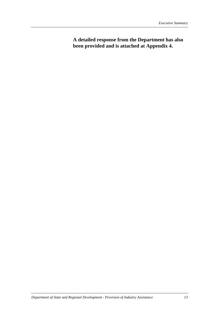**A detailed response from the Department has also been provided and is attached at Appendix 4.**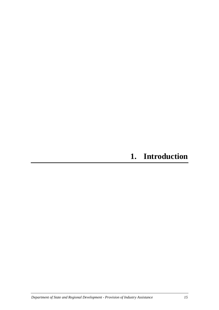## **1. Introduction**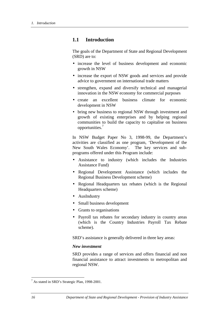## **1.1 Introduction**

The goals of the Department of State and Regional Development (SRD) are to:

- increase the level of business development and economic growth in NSW
- increase the export of NSW goods and services and provide advice to government on international trade matters
- strengthen, expand and diversify technical and managerial innovation in the NSW economy for commercial purposes
- create an excellent business climate for economic development in NSW
- bring new business to regional NSW through investment and growth of existing enterprises and by helping regional communities to build the capacity to capitalise on business opportunities.<sup>7</sup>

In NSW Budget Paper No 3, 1998-99, the Department's activities are classified as one program, 'Development of the New South Wales Economy'. The key services and subprograms offered under this Program include:

- Assistance to industry (which includes the Industries Assistance Fund)
- Regional Development Assistance (which includes the Regional Business Development scheme)
- Regional Headquarters tax rebates (which is the Regional Headquarters scheme)
- AusIndustry
- Small business development
- Grants to organisations
- Payroll tax rebates for secondary industry in country areas (which is the Country Industries Payroll Tax Rebate scheme).

SRD's assistance is generally delivered in three key areas:

#### *New investment*

SRD provides a range of services and offers financial and non financial assistance to attract investments to metropolitan and regional NSW.

<sup>&</sup>lt;sup>7</sup> As stated in SRD's Strategic Plan, 1998-2001.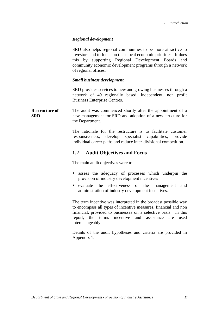### *Regional development*

SRD also helps regional communities to be more attractive to investors and to focus on their local economic priorities. It does this by supporting Regional Development Boards and community economic development programs through a network of regional offices.

#### *Small business development*

SRD provides services to new and growing businesses through a network of 49 regionally based, independent, non profit Business Enterprise Centres.

**Restructure of SRD** The audit was commenced shortly after the appointment of a new management for SRD and adoption of a new structure for the Department.

> The rationale for the restructure is to facilitate customer responsiveness, develop specialist capabilities, provide individual career paths and reduce inter-divisional competition.

## **1.2 Audit Objectives and Focus**

The main audit objectives were to:

- assess the adequacy of processes which underpin the provision of industry development incentives
- evaluate the effectiveness of the management and administration of industry development incentives.

The term incentive was interpreted in the broadest possible way to encompass all types of incentive measures, financial and non financial, provided to businesses on a selective basis. In this report, the terms incentive and assistance are used interchangeably.

Details of the audit hypotheses and criteria are provided in Appendix 1.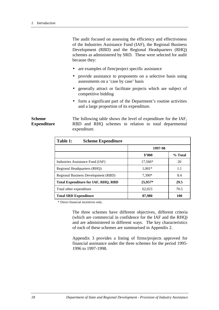The audit focused on assessing the efficiency and effectiveness of the Industries Assistance Fund (IAF), the Regional Business Development (RBD) and the Regional Headquarters (RHQ) schemes as administered by SRD. These were selected for audit because they:

- are examples of firm/project specific assistance
- provide assistance to proponents on a selective basis using assessments on a 'case by case' basis
- generally attract or facilitate projects which are subject of competitive bidding
- form a significant part of the Department's routine activities and a large proportion of its expenditure.

**Scheme Expenditure** The following table shows the level of expenditure for the IAF, RBD and RHQ schemes in relation to total departmental expenditure.

| Table 1:<br><b>Scheme Expenditure</b> |          |         |
|---------------------------------------|----------|---------|
|                                       | 1997-98  |         |
|                                       | \$2000   | % Total |
| Industries Assistance Fund (IAF)      | 17,566*  | 20      |
| Regional Headquarters (RHO)           | $1.001*$ | 1.1     |
| Regional Business Development (RBD)   | 7.390*   | 8.4     |
| Total Expenditure for IAF, RHO, RBD   | 25,957*  | 29.5    |
| Total other expenditure               | 62,023   | 70.5    |
| <b>Total SRD Expenditure</b>          | 87,980   | 100     |

\* Direct financial incentives only.

The three schemes have different objectives, different criteria (which are commercial in confidence for the IAF and the RHQ) and are administered in different ways. The key characteristics of each of these schemes are summarised in Appendix 2.

Appendix 3 provides a listing of firms/projects approved for financial assistance under the three schemes for the period 1995- 1996 to 1997-1998.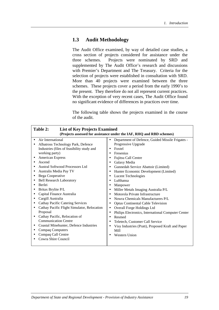## **1.3 Audit Methodology**

The Audit Office examined, by way of detailed case studies, a cross section of projects considered for assistance under the three schemes. Projects were nominated by SRD and supplemented by The Audit Office's research and discussions with Premier's Department and The Treasury. Criteria for the selection of projects were established in consultation with SRD. More than 40 projects were examined between the three schemes. These projects cover a period from the early 1990's to the present. They therefore do not all represent current practices. With the exception of very recent cases, The Audit Office found no significant evidence of differences in practices over time.

The following table shows the projects examined in the course of the audit.

| Table 2:<br><b>List of Key Projects Examined</b><br>(Projects assessed for assistance under the IAF, RHQ and RBD schemes)                                                                                                                                                                                                                                                                                                                                                                                                                                                                                                                                                                                                                                                                                                                    |                                                                                                                                                                                                                                                                                                                                                                                                                                                                                                                                                                                                                                                                                                                                                                                                                                                                    |  |
|----------------------------------------------------------------------------------------------------------------------------------------------------------------------------------------------------------------------------------------------------------------------------------------------------------------------------------------------------------------------------------------------------------------------------------------------------------------------------------------------------------------------------------------------------------------------------------------------------------------------------------------------------------------------------------------------------------------------------------------------------------------------------------------------------------------------------------------------|--------------------------------------------------------------------------------------------------------------------------------------------------------------------------------------------------------------------------------------------------------------------------------------------------------------------------------------------------------------------------------------------------------------------------------------------------------------------------------------------------------------------------------------------------------------------------------------------------------------------------------------------------------------------------------------------------------------------------------------------------------------------------------------------------------------------------------------------------------------------|--|
| Air International<br>$\bullet$<br>Albatross Technology Park, Defence<br>$\bullet$<br>Industries (files of feasibility study and<br>working party)<br><b>American Express</b><br>٠<br>Ascend<br>$\bullet$<br>Austral Softwood Processors Ltd<br>Australis Media Pay TV<br>٠<br>Bega Cooperative<br>$\bullet$<br><b>Bell Research Laboratory</b><br>$\bullet$<br><b>Berlei</b><br>$\bullet$<br>Britax Brylite P/L<br>٠<br>Capital Finance Australia<br>$\bullet$<br>Cargill Australia<br>$\bullet$<br><b>Cathay Pacific Catering Services</b><br>$\bullet$<br>Cathay Pacific Flight Simulator, Relocation<br>$\bullet$<br>Proposal<br>Cathay Pacific, Relocation of<br>$\bullet$<br><b>Communication Centre</b><br>Coastal Minehunter, Defence Industries<br>$\bullet$<br><b>Compaq Computers</b><br>Compaq Call Centre<br>Cowra Shire Council | Department of Defence, Guided Missile Frigates -<br>$\bullet$<br>Progressive Upgrade<br>Foxtel<br>$\bullet$<br>Fresenius<br>$\bullet$<br>Fujitsu Call Centre<br>٠<br>Galaxy Media<br>٠<br>Gunnedah Service Abattoir (Limited)<br>$\bullet$<br>Hunter Economic Development (Limited)<br>٠<br><b>Lucent Technologies</b><br>٠<br>Lufthansa<br>$\bullet$<br>Manpower<br>$\bullet$<br>Miller Metals Imaging Australia P/L<br>٠<br>Motorola Private Infrastructure<br>$\bullet$<br>Nowra Chemicals Manufacturers P/L<br>$\bullet$<br><b>Optus Continental Cable Television</b><br>٠<br>Overall Forge Holdings Ltd<br>٠<br>Philips Electronics, International Computer Center<br>٠<br>Resmed<br>$\bullet$<br>Teletech, Customer Call Service<br>$\bullet$<br>Visy Industries (Pratt), Proposed Kraft and Paper<br>$\bullet$<br>Mill<br><b>Western Union</b><br>$\bullet$ |  |
|                                                                                                                                                                                                                                                                                                                                                                                                                                                                                                                                                                                                                                                                                                                                                                                                                                              |                                                                                                                                                                                                                                                                                                                                                                                                                                                                                                                                                                                                                                                                                                                                                                                                                                                                    |  |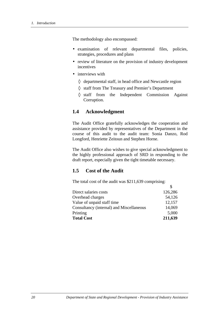The methodology also encompassed:

- examination of relevant departmental files, policies, strategies, procedures and plans
- review of literature on the provision of industry development incentives
- interviews with
	- $\Diamond$  departmental staff, in head office and Newcastle region
	- ◊ staff from The Treasury and Premier's Department
	- ◊ staff from the Independent Commission Against Corruption.

## **1.4 Acknowledgment**

The Audit Office gratefully acknowledges the cooperation and assistance provided by representatives of the Department in the course of this audit to the audit team: Sonia Danzo, Rod Longford, Henriette Zeitoun and Stephen Horne.

The Audit Office also wishes to give special acknowledgment to the highly professional approach of SRD in responding to the draft report, especially given the tight timetable necessary.

 $\hat{\mathcal{L}}$ 

## **1.5 Cost of the Audit**

The total cost of the audit was \$211,639 comprising:

| Direct salaries costs                    | 126,286 |
|------------------------------------------|---------|
| Overhead charges                         | 54,126  |
| Value of unpaid staff time               | 12,157  |
| Consultancy (internal) and Miscellaneous | 14,069  |
| Printing                                 | 5,000   |
| <b>Total Cost</b>                        | 211,639 |
|                                          |         |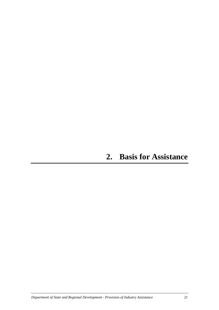## **2. Basis for Assistance**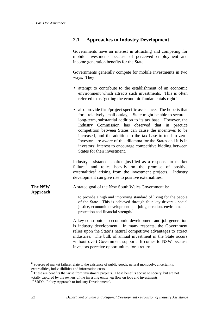## **2.1 Approaches to Industry Development**

Governments have an interest in attracting and competing for mobile investments because of perceived employment and income generation benefits for the State.

Governments generally compete for mobile investments in two ways. They:

- attempt to contribute to the establishment of an economic environment which attracts such investments. This is often referred to as 'getting the economic fundamentals right'
- also provide firm/project specific assistance. The hope is that for a relatively small outlay, a State might be able to secure a long-term, substantial addition to its tax base. However, the Industry Commission has observed that in practice competition between States can cause the incentives to be increased, and the addition to the tax base to tend to zero. Investors are aware of this dilemma for the States and it is in investors' interest to encourage competitive bidding between States for their investment.

Industry assistance is often justified as a response to market failure, $\stackrel{8}{\ }$  and relies heavily on the promise of positive externalities<sup>9</sup> arising from the investment projects. Industry development can give rise to positive externalities.

**The NSW** A stated goal of the New South Wales Government is:

> to provide a high and improving standard of living for the people of the State. This is achieved through four key drivers - social justice, economic development and job generation, environmental protection and financial strength.<sup>10</sup>

A key contributor to economic development and job generation is industry development. In many respects, the Government relies upon the State's natural competitive advantages to attract industries. The bulk of annual investment in the State occurs without overt Government support. It comes to NSW because investors perceive opportunities for a return.

 $\overline{a}$ 

**Approach**

<sup>&</sup>lt;sup>8</sup> Sources of market failure relate to the existence of public goods, natural monopoly, uncertainty, externalities, indivisibilities and information costs.

<sup>&</sup>lt;sup>9</sup> These are benefits that arise from investment projects. These benefits accrue to society, but are not totally captured by the owners of the investing entity, eg flow on jobs and investments.

<sup>&</sup>lt;sup>10</sup> SRD's 'Policy Approach to Industry Development'.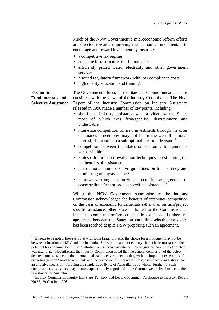Much of the NSW Government's microeconomic reform efforts are directed towards improving the economic fundamentals to encourage and reward investment by ensuring:

- a competitive tax regime
- adequate infrastructure, roads, ports etc.
- efficiently priced water, electricity and other government services
- a sound regulatory framework with low compliance costs
- high quality education and training.

#### **Economic Fundamentals and Selective Assistance**

 $\overline{a}$ 

The Government's focus on the State's economic fundamentals is consistent with the views of the Industry Commission. The Final Report of the Industry Commission on Industry Assistance released in 1996 made a number of key points, including:

- significant industry assistance was provided by the States most of which was firm-specific, discretionary and undesirable
- inter-state competition for new investments through the offer of financial incentives may not be in the overall national interest, if it results in a sub-optimal location decision $11$
- competition between the States on economic fundamentals was desirable
- States often misused evaluation techniques in estimating the net benefits of assistance
- jurisdictions should observe guidelines on transparency and monitoring of any assistance
- there was a strong case for States to consider an agreement to cease or limit firm or project specific assistance.<sup>12</sup>

Whilst the NSW Government submission to the Industry Commission acknowledged the benefits of inter-state competition on the basis of economic fundamentals rather than on firm/project specific assistance, other States indicated to the Commission an intent to continue firm/project specific assistance. Further, no agreement between the States on curtailing selective assistance has been reached despite NSW proposing such an agreement.

 $11$  It needs to be noted, however, that with some larger projects, the choice for a proponent may not be between a location in NSW and one in another State, but in another country. In such circumstances, the potential for economic benefit to Australia from selective assistance may be greater than if the alternative was inter-state. Nevertheless, the Industry Commission noted that the general conclusion of the policy debate about assistance in the international trading environment is that, with the important exceptions of providing general 'good government' and the correction of 'market failures', assistance to industry is not an effective means of improving the standards of living of Australians as a whole. Further, in such circumstances, assistance may be more appropriately negotiated at the Commonwealth level to secure the investment for Australia.

<sup>&</sup>lt;sup>12</sup> Industry Commission Inquiry into State, Territory and Local Government Assistance to Industry, Report No 55, 29 October 1996.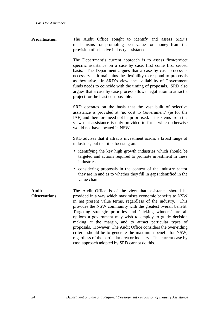| <b>Prioritisation</b>        | The Audit Office sought to identify and assess SRD's<br>mechanisms for promoting best value for money from the<br>provision of selective industry assistance.                                                                                                                                                                                                                                                                                                                                                                                                                                                                                                                                               |
|------------------------------|-------------------------------------------------------------------------------------------------------------------------------------------------------------------------------------------------------------------------------------------------------------------------------------------------------------------------------------------------------------------------------------------------------------------------------------------------------------------------------------------------------------------------------------------------------------------------------------------------------------------------------------------------------------------------------------------------------------|
|                              | The Department's current approach is to assess firm/project<br>specific assistance on a case by case, first come first served<br>basis. The Department argues that a case by case process is<br>necessary as it maintains the flexibility to respond to proposals<br>as they arise. In SRD's view, the availability of Government<br>funds needs to coincide with the timing of proposals. SRD also<br>argues that a case by case process allows negotiation to attract a<br>project for the least cost possible.                                                                                                                                                                                           |
|                              | SRD operates on the basis that the vast bulk of selective<br>assistance is provided at 'no cost to Government' (ie for the<br>IAF) and therefore need not be prioritised. This stems from the<br>view that assistance is only provided to firms which otherwise<br>would not have located in NSW.                                                                                                                                                                                                                                                                                                                                                                                                           |
|                              | SRD advises that it attracts investment across a broad range of<br>industries, but that it is focusing on:                                                                                                                                                                                                                                                                                                                                                                                                                                                                                                                                                                                                  |
|                              | • identifying the key high growth industries which should be<br>targeted and actions required to promote investment in these<br>industries                                                                                                                                                                                                                                                                                                                                                                                                                                                                                                                                                                  |
|                              | • considering proposals in the context of the industry sector<br>they are in and as to whether they fill in gaps identified in the<br>value chain.                                                                                                                                                                                                                                                                                                                                                                                                                                                                                                                                                          |
| Audit<br><b>Observations</b> | The Audit Office is of the view that assistance should be<br>provided in a way which maximises economic benefits to NSW<br>in net present value terms, regardless of the industry.<br>This<br>provides the NSW community with the greatest overall benefit.<br>Targeting strategic priorities and 'picking winners' are all<br>options a government may wish to employ to guide decision<br>making at the margin, and to attract particular types of<br>proposals. However, The Audit Office considers the over-riding<br>criteria should be to generate the maximum benefit for NSW,<br>regardless of the particular area or industry. The current case by<br>case approach adopted by SRD cannot do this. |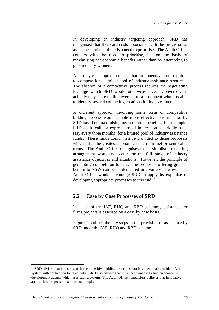In developing an industry targeting approach, SRD has recognised that there are costs associated with the provision of assistance and that there is a need to prioritise. The Audit Office concurs with the need to prioritise, but on the basis of maximising net economic benefits rather than by attempting to pick industry winners.

A case by case approach means that proponents are not required to compete for a limited pool of industry assistance resources. The absence of a competitive process reduces the negotiating leverage which SRD would otherwise have. Conversely, it actually may increase the leverage of a proponent which is able to identify several competing locations for its investment.

A different approach involving some form of competitive bidding process would enable more effective prioritisation by SRD based on maximising net economic benefits. For example, SRD could call for expressions of interest on a periodic basis (say every three months) for a limited pool of industry assistance funds. These funds could then be provided to those proposals which offer the greatest economic benefits in net present value terms. The Audit Office recognises that a simplistic tendering arrangement would not cater for the full range of industry assistance objectives and situations. However, the principle of generating competition to select the proposals offering greatest benefit to NSW can be implemented in a variety of ways. The Audit Office would encourage SRD to apply its expertise to developing appropriate processes to this end.<sup>13</sup>

## **2.2 Case by Case Processes of SRD**

In each of the IAF, RHQ and RBD schemes, assistance for firms/projects is assessed on a case by case basis.

Figure 1 outlines the key steps in the provision of assistance by SRD under the IAF, RHQ and RBD schemes.

<sup>&</sup>lt;sup>13</sup> SRD advises that it has researched competitive bidding processes, but has been unable to identify a system with application to its activity. SRD also advises that it has been unable to find an economic development agency which uses such a system. The Audit Office nonetheless believes that innovative approaches are possible and warrant exploration.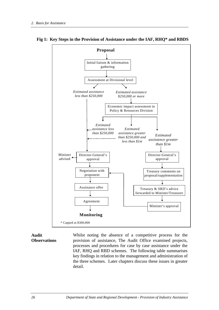



#### **Audit Observations**

Whilst noting the absence of a competitive process for the provision of assistance, The Audit Office examined projects, processes and procedures for case by case assistance under the IAF, RHQ and RBD schemes. The following table summarises key findings in relation to the management and administration of the three schemes. Later chapters discuss these issues in greater detail.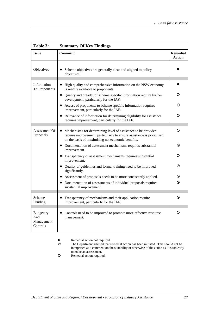| Table 3:                                          | <b>Summary Of Key Findings</b>                                                                                                                                                                           |                           |  |
|---------------------------------------------------|----------------------------------------------------------------------------------------------------------------------------------------------------------------------------------------------------------|---------------------------|--|
| <b>Issue</b>                                      | <b>Comment</b>                                                                                                                                                                                           | <b>Remedial</b><br>Action |  |
| Objectives                                        | Scheme objectives are generally clear and aligned to policy<br>objectives.                                                                                                                               |                           |  |
| Information<br>To Proponents                      | High quality and comprehensive information on the NSW economy<br>is readily available to proponents.                                                                                                     |                           |  |
|                                                   | • Quality and breadth of scheme specific information require further<br>development, particularly for the IAF.                                                                                           | O                         |  |
|                                                   | Access of proponents to scheme specific information requires<br>improvement, particularly for the IAF.                                                                                                   | O                         |  |
|                                                   | Relevance of information for determining eligibility for assistance<br>requires improvement, particularly for the IAF.                                                                                   | O                         |  |
| Assessment Of<br>Proposals                        | Mechanisms for determining level of assistance to be provided<br>$\bullet$<br>require improvement, particularly to ensure assistance is prioritised<br>on the basis of maximising net economic benefits. | O                         |  |
|                                                   | • Documentation of assessment mechanisms requires substantial<br>improvement.                                                                                                                            | ◉                         |  |
|                                                   | • Transparency of assessment mechanisms requires substantial<br>improvement.                                                                                                                             | O                         |  |
|                                                   | • Quality of guidelines and formal training need to be improved<br>significantly.                                                                                                                        | ◉                         |  |
|                                                   | Assessment of proposals needs to be more consistently applied.                                                                                                                                           | ⊚                         |  |
|                                                   | Documentation of assessments of individual proposals requires<br>substantial improvement.                                                                                                                | ⊙                         |  |
| Scheme<br>Funding                                 | Transparency of mechanisms and their application require<br>improvement, particularly for the IAF.                                                                                                       | ◉                         |  |
| <b>Budgetary</b><br>And<br>Management<br>Controls | Controls need to be improved to promote more effective resource<br>management.                                                                                                                           | O                         |  |

- $\bullet$ • Remedial action not required.<br> **•** The Department advised that r
- ~ The Department advised that remedial action has been initiated. This should not be interpreted as a comment on the suitability or otherwise of the action as it is too early to make an assessment.
- **Q** Remedial action required.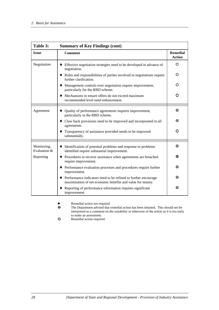| Table 3:                    | <b>Summary of Key Findings (cont)</b>                                                                                          |                                  |
|-----------------------------|--------------------------------------------------------------------------------------------------------------------------------|----------------------------------|
| <b>Issue</b>                | <b>Comment</b>                                                                                                                 | <b>Remedial</b><br><b>Action</b> |
| Negotiation                 | Effective negotiation strategies need to be developed in advance of<br>negotiation.                                            | O                                |
|                             | • Roles and responsibilities of parties involved in negotiations require<br>further clarification.                             | O                                |
|                             | Management controls over negotiation require improvement,<br>particularly for the RBD scheme.                                  | O                                |
|                             | Mechanisms to ensure offers do not exceed maximum<br>recommended level need enhancement.                                       | O                                |
|                             |                                                                                                                                |                                  |
| Agreement                   | Quality of performance agreements requires improvement,<br>particularly in the RBD scheme.                                     | ⊙                                |
|                             | • Claw back provisions need to be improved and incorporated in all<br>agreements.                                              | ⊙                                |
|                             | Transparency of assistance provided needs to be improved<br>substantially.                                                     | O                                |
|                             |                                                                                                                                |                                  |
| Monitoring,<br>Evaluation & | Identification of potential problems and response to problems<br>٠<br>identified require substantial improvement.              | ⊙                                |
| Reporting                   | • Procedures to recover assistance when agreements are breached<br>require improvement.                                        | ⊙                                |
|                             | • Performance evaluation processes and procedures require further<br>improvement.                                              | ⊙                                |
|                             | • Performance indicators need to be refined to further encourage<br>maximisation of net economic benefits and value for money. | ⊙                                |
|                             | Reporting of performance information requires significant<br>improvement.                                                      | ◉                                |

- $\bullet$ • Remedial action not required.<br>
• The Department advised that r
- The Department advised that remedial action has been initiated. This should not be interpreted as a comment on the suitability or otherwise of the action as it is too early to make an assessment.
- { Remedial action required.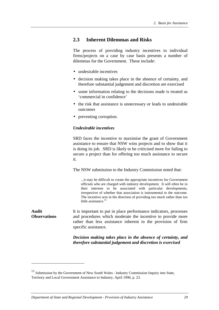## **2.3 Inherent Dilemmas and Risks**

The process of providing industry incentives to individual firms/projects on a case by case basis presents a number of dilemmas for the Government. These include:

- undesirable incentives
- decision making takes place in the absence of certainty, and therefore substantial judgement and discretion are exercised
- some information relating to the decisions made is treated as 'commercial in confidence'
- the risk that assistance is unnecessary or leads to undesirable outcomes
- preventing corruption.

#### *Undesirable incentives*

SRD faces the incentive to maximise the grant of Government assistance to ensure that NSW wins projects and to show that it is doing its job. SRD is likely to be criticised more for failing to secure a project than for offering too much assistance to secure it.

The NSW submission to the Industry Commission noted that:

...it may be difficult to create the appropriate incentives for Government officials who are charged with industry development. It will often be in their interests to be associated with particular developments, irrespective of whether that association is instrumental to the outcome. The incentive acts in the direction of providing too much rather than too little assistance.<sup>15</sup>

**Audit Observations** It is important to put in place performance indicators, processes and procedures which moderate the incentive to provide more rather than less assistance inherent in the provision of firm specific assistance.

> *Decision making takes place in the absence of certainty, and therefore substantial judgement and discretion is exercised*

<sup>&</sup>lt;sup>15</sup> Submission by the Government of New South Wales - Industry Commission Inquiry into State, Territory and Local Government Assistance to Industry, April 1996, p. 23.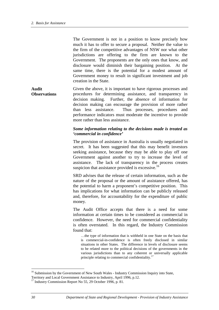The Government is not in a position to know precisely how much it has to offer to secure a proposal. Neither the value to the firm of the competitive advantages of NSW nor what other jurisdictions are offering to the firm are known to the Government. The proponents are the only ones that know, and disclosure would diminish their bargaining position. At the same time, there is the potential for a modest amount of Government money to result in significant investment and job creation in the State.

**Audit Observations** Given the above, it is important to have rigorous processes and procedures for determining assistance, and transparency in decision making. Further, the absence of information for decision making can encourage the provision of more rather than less assistance. Thus processes, procedures and performance indicators must moderate the incentive to provide more rather than less assistance.

#### *Some information relating to the decisions made is treated as 'commercial in confidence'*

The provision of assistance in Australia is usually negotiated in secret. It has been suggested that this may benefit investors seeking assistance, because they may be able to play off one Government against another to try to increase the level of assistance. The lack of transparency in the process creates suspicion that assistance provided is excessive.<sup>16</sup>

SRD advises that the release of certain information, such as the nature of the proposal or the amount of assistance offered, has the potential to harm a proponent's competitive position. This has implications for what information can be publicly released and, therefore, for accountability for the expenditure of public money.

The Audit Office accepts that there is a need for some information at certain times to be considered as commercial in confidence. However, the need for commercial confidentiality is often overstated. In this regard, the Industry Commission found that:

…the type of information that is withheld in one State on the basis that is commercial-in-confidence is often freely disclosed in similar situations in other States. The difference in levels of disclosure seems to be related more to the political decisions of the governments in the various jurisdictions than to any coherent or universally applicable principle relating to commercial confidentiality.<sup>17</sup>

<sup>&</sup>lt;sup>16</sup> Submission by the Government of New South Wales - Industry Commission Inquiry into State,

Territory and Local Government Assistance to Industry, April 1996, p.12.

 $17$  Industry Commission Report No 55, 29 October 1996, p. 81.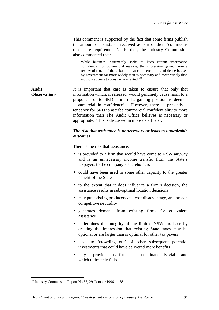This comment is supported by the fact that some firms publish the amount of assistance received as part of their 'continuous disclosure requirements'. Further, the Industry Commission also commented that:

While business legitimately seeks to keep certain information confidential for commercial reasons, the impression gained from a review of much of the debate is that commercial in confidence is used by government far more widely than is necessary and more widely than industry appears to consider warranted.<sup>18</sup>

**Audit Observations** It is important that care is taken to ensure that only that information which, if released, would genuinely cause harm to a proponent or to SRD's future bargaining position is deemed 'commercial in confidence'. However, there is presently a tendency for SRD to ascribe commercial confidentiality to more information than The Audit Office believes is necessary or appropriate. This is discussed in more detail later.

#### *The risk that assistance is unnecessary or leads to undesirable outcomes*

There is the risk that assistance:

- is provided to a firm that would have come to NSW anyway and is an unnecessary income transfer from the State's taxpayers to the company's shareholders
- could have been used in some other capacity to the greater benefit of the State
- to the extent that it does influence a firm's decision, the assistance results in sub-optimal location decisions
- may put existing producers at a cost disadvantage, and breach competitive neutrality
- generates demand from existing firms for equivalent assistance
- undermines the integrity of the limited NSW tax base by creating the impression that existing State taxes may be optional or are larger than is optimal for other tax payers
- leads to 'crowding out' of other subsequent potential investments that could have delivered more benefits
- may be provided to a firm that is not financially viable and which ultimately fails

<sup>&</sup>lt;sup>18</sup> Industry Commission Report No 55, 29 October 1996, p. 78.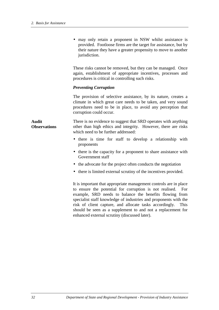• may only retain a proponent in NSW whilst assistance is provided. Footloose firms are the target for assistance, but by their nature they have a greater propensity to move to another jurisdiction.

These risks cannot be removed, but they can be managed. Once again, establishment of appropriate incentives, processes and procedures is critical in controlling such risks.

### *Preventing Corruption*

The provision of selective assistance, by its nature, creates a climate in which great care needs to be taken, and very sound procedures need to be in place, to avoid any perception that corruption could occur.

**Audit Observations** There is no evidence to suggest that SRD operates with anything other than high ethics and integrity. However, there are risks which need to be further addressed:

- there is time for staff to develop a relationship with proponents
- there is the capacity for a proponent to share assistance with Government staff
- the advocate for the project often conducts the negotiation
- there is limited external scrutiny of the incentives provided.

It is important that appropriate management controls are in place to ensure the potential for corruption is not realised. For example, SRD needs to balance the benefits flowing from specialist staff knowledge of industries and proponents with the risk of client capture, and allocate tasks accordingly. This should be seen as a supplement to and not a replacement for enhanced external scrutiny (discussed later).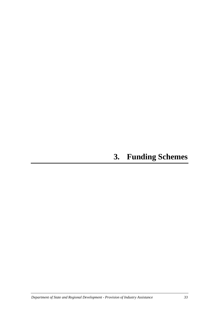# **3. Funding Schemes**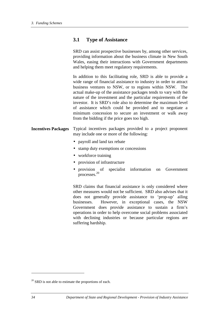## **3.1 Type of Assistance**

SRD can assist prospective businesses by, among other services, providing information about the business climate in New South Wales, easing their interactions with Government departments and helping them meet regulatory requirements.

In addition to this facilitating role, SRD is able to provide a wide range of financial assistance to industry in order to attract business ventures to NSW, or to regions within NSW. The actual make-up of the assistance packages tends to vary with the nature of the investment and the particular requirements of the investor. It is SRD's role also to determine the maximum level of assistance which could be provided and to negotiate a minimum concession to secure an investment or walk away from the bidding if the price goes too high.

- **Incentives Packages** Typical incentives packages provided to a project proponent may include one or more of the following:
	- payroll and land tax rebate
	- stamp duty exemptions or concessions
	- workforce training
	- provision of infrastructure
	- provision of specialist information on Government processes.20

SRD claims that financial assistance is only considered where other measures would not be sufficient. SRD also advises that it does not generally provide assistance to 'prop-up' ailing businesses. However, in exceptional cases, the NSW Government does provide assistance to sustain a firm's operations in order to help overcome social problems associated with declining industries or because particular regions are suffering hardship.

 $20$  SRD is not able to estimate the proportions of each.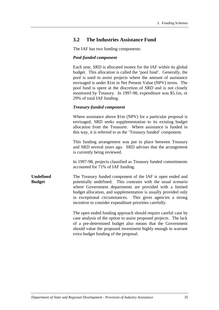## **3.2 The Industries Assistance Fund**

The IAF has two funding components:

#### *Pool-funded component*

Each year, SRD is allocated money for the IAF within its global budget. This allocation is called the 'pool fund'. Generally, the pool is used to assist projects where the amount of assistance envisaged is under \$1m in Net Present Value (NPV) terms. The pool fund is spent at the discretion of SRD and is not closely monitored by Treasury. In 1997-98, expenditure was \$5.1m, or 29% of total IAF funding.

### *Treasury-funded component*

Where assistance above \$1m (NPV) for a particular proposal is envisaged, SRD seeks supplementation to its existing budget allocation from the Treasurer. Where assistance is funded in this way, it is referred to as the 'Treasury funded' component.

This funding arrangement was put in place between Treasury and SRD several years ago. SRD advises that the arrangement is currently being reviewed.

In 1997-98, projects classified as Treasury funded commitments accounted for 71% of IAF funding.

**Undefined Budget** The Treasury funded component of the IAF is open ended and potentially undefined. This contrasts with the usual scenario where Government departments are provided with a limited budget allocation, and supplementation is usually provided only in exceptional circumstances. This gives agencies a strong incentive to consider expenditure priorities carefully.

> The open ended funding approach should require careful case by case analysis of the option to assist proposed projects. The lack of a pre-determined budget also means that the Government should value the proposed investment highly enough to warrant extra budget funding of the proposal.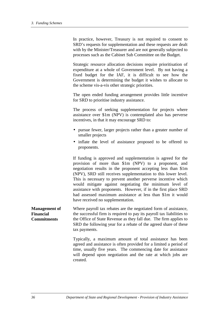In practice, however, Treasury is not required to consent to SRD's requests for supplementation and these requests are dealt with by the Minister/Treasurer and are not generally subjected to processes such as the Cabinet Sub Committee on the Budget.

Strategic resource allocation decisions require prioritisation of expenditure at a whole of Government level. By not having a fixed budget for the IAF, it is difficult to see how the Government is determining the budget it wishes to allocate to the scheme vis-a-vis other strategic priorities.

The open ended funding arrangement provides little incentive for SRD to prioritise industry assistance.

The process of seeking supplementation for projects where assistance over \$1m (NPV) is contemplated also has perverse incentives, in that it may encourage SRD to:

- pursue fewer, larger projects rather than a greater number of smaller projects
- inflate the level of assistance proposed to be offered to proponents.

If funding is approved and supplementation is agreed for the provision of more than \$1m (NPV) to a proponent, and negotiation results in the proponent accepting less than \$1m (NPV), SRD still receives supplementation to this lower level. This is necessary to prevent another perverse incentive which would mitigate against negotiating the minimum level of assistance with proponents. However, if in the first place SRD had assessed maximum assistance at less than \$1m it would have received no supplementation.

**Management of Financial Commitments** Where payroll tax rebates are the negotiated form of assistance, the successful firm is required to pay its payroll tax liabilities to the Office of State Revenue as they fall due. The firm applies to SRD the following year for a rebate of the agreed share of these tax payments.

> Typically, a maximum amount of total assistance has been agreed and assistance is often provided for a limited a period of time, usually five years. The commencing date for assistance will depend upon negotiation and the rate at which jobs are created.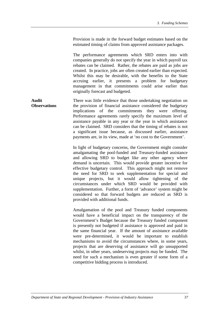Provision is made in the forward budget estimates based on the estimated timing of claims from approved assistance packages.

The performance agreements which SRD enters into with companies generally do not specify the year in which payroll tax rebates can be claimed. Rather, the rebates are paid as jobs are created. In practice, jobs are often created earlier than expected. Whilst this may be desirable, with the benefits to the State accruing earlier, it presents a problem for budgetary management in that commitments could arise earlier than originally forecast and budgeted.

**Audit Observations** There was little evidence that those undertaking negotiation on the provision of financial assistance considered the budgetary implications of the commitments they were offering. Performance agreements rarely specify the maximum level of assistance payable in any year or the year in which assistance can be claimed. SRD considers that the timing of rebates is not a significant issue because, as discussed earlier, assistance payments are, in its view, made at 'no cost to the Government'.

> In light of budgetary concerns, the Government might consider amalgamating the pool-funded and Treasury-funded assistance and allowing SRD to budget like any other agency where demand is uncertain. This would provide greater incentive for effective budgetary control. This approach might not remove the need for SRD to seek supplementation for special and unique projects, but it would allow tightening of the circumstances under which SRD would be provided with supplementation. Further, a form of 'advance' system might be considered so that forward budgets are reduced as SRD is provided with additional funds.

> Amalgamation of the pool and Treasury funded components would have a beneficial impact on the transparency of the Government's Budget because the Treasury funded component is presently not budgeted if assistance is approved and paid in the same financial year. If the amount of assistance available were pre-determined, it would be important to establish mechanisms to avoid the circumstances where, in some years, projects that are deserving of assistance will go unsupported whilst, in other years, undeserving projects may be funded. The need for such a mechanism is even greater if some form of a competitive bidding process is introduced.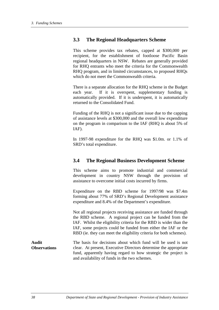## **3.3 The Regional Headquarters Scheme**

This scheme provides tax rebates, capped at \$300,000 per recipient, for the establishment of footloose Pacific Basin regional headquarters in NSW. Rebates are generally provided for RHQ entrants who meet the criteria for the Commonwealth RHQ program, and in limited circumstances, to proposed RHQs which do not meet the Commonwealth criteria.

There is a separate allocation for the RHQ scheme in the Budget each year. If it is overspent, supplementary funding is automatically provided. If it is underspent, it is automatically returned to the Consolidated Fund.

Funding of the RHQ is not a significant issue due to the capping of assistance levels at \$300,000 and the overall low expenditure on the program in comparison to the IAF (RHQ is about 5% of IAF).

In 1997-98 expenditure for the RHQ was \$1.0m. or 1.1% of SRD's total expenditure.

### **3.4 The Regional Business Development Scheme**

This scheme aims to promote industrial and commercial development in country NSW through the provision of assistance to overcome initial costs incurred by firms.

Expenditure on the RBD scheme for 1997/98 was \$7.4m forming about 77% of SRD's Regional Development assistance expenditure and 8.4% of the Department's expenditure.

Not all regional projects receiving assistance are funded through the RBD scheme. A regional project can be funded from the IAF. Whilst the eligibility criteria for the RBD is wider than the IAF, some projects could be funded from either the IAF or the RBD (ie. they can meet the eligibility criteria for both schemes).

**Audit Observations** The basis for decisions about which fund will be used is not clear. At present, Executive Directors determine the appropriate fund, apparently having regard to how strategic the project is and availability of funds in the two schemes.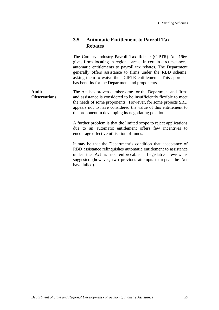# **3.5 Automatic Entitlement to Payroll Tax Rebates**

The Country Industry Payroll Tax Rebate (CIPTR) Act 1966 gives firms locating in regional areas, in certain circumstances, automatic entitlements to payroll tax rebates. The Department generally offers assistance to firms under the RBD scheme, asking them to waive their CIPTR entitlement. This approach has benefits for the Department and proponents.

**Audit Observations** The Act has proven cumbersome for the Department and firms and assistance is considered to be insufficiently flexible to meet the needs of some proponents. However, for some projects SRD appears not to have considered the value of this entitlement to the proponent in developing its negotiating position.

> A further problem is that the limited scope to reject applications due to an automatic entitlement offers few incentives to encourage effective utilisation of funds.

> It may be that the Department's condition that acceptance of RBD assistance relinquishes automatic entitlement to assistance under the Act is not enforceable. Legislative review is suggested (however, two previous attempts to repeal the Act have failed).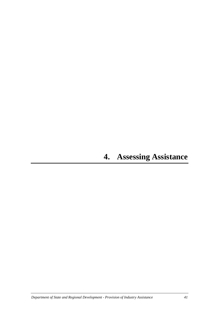# **4. Assessing Assistance**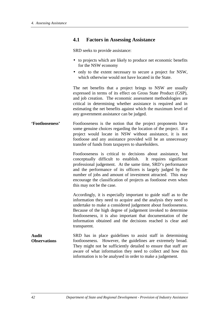### **4.1 Factors in Assessing Assistance**

SRD seeks to provide assistance:

- to projects which are likely to produce net economic benefits for the NSW economy
- only to the extent necessary to secure a project for NSW, which otherwise would not have located in the State.

The net benefits that a project brings to NSW are usually expressed in terms of its effect on Gross State Product (GSP), and job creation. The economic assessment methodologies are critical in determining whether assistance is required and in estimating the net benefits against which the maximum level of any government assistance can be judged.

**'Footlooseness'** Footlooseness is the notion that the project proponents have some genuine choices regarding the location of the project. If a project would locate in NSW without assistance, it is not footloose and any assistance provided will be an unnecessary transfer of funds from taxpayers to shareholders.

> Footlooseness is critical to decisions about assistance, but conceptually difficult to establish. It requires significant professional judgement. At the same time, SRD's performance and the performance of its officers is largely judged by the number of jobs and amount of investment attracted. This may encourage the classification of projects as footloose even when this may not be the case.

> Accordingly, it is especially important to guide staff as to the information they need to acquire and the analysis they need to undertake to make a considered judgement about footlooseness. Because of the high degree of judgement invoked to determine footlooseness, it is also important that documentation of the information obtained and the decisions reached is clear and transparent.

**Audit Observations** SRD has in place guidelines to assist staff in determining footlooseness. However, the guidelines are extremely broad. They might not be sufficiently detailed to ensure that staff are aware of what information they need to collect and how this information is to be analysed in order to make a judgement.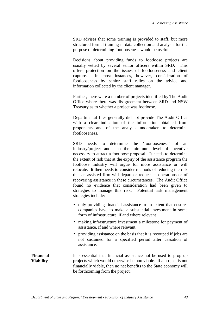SRD advises that some training is provided to staff, but more structured formal training in data collection and analysis for the purpose of determining footlooseness would be useful.

Decisions about providing funds to footloose projects are usually vetted by several senior officers within SRD. This offers protection on the issues of footlooseness and client capture. In most instances, however, consideration of footlooseness by senior staff relies on the advice and information collected by the client manager.

Further, there were a number of projects identified by The Audit Office where there was disagreement between SRD and NSW Treasury as to whether a project was footloose.

Departmental files generally did not provide The Audit Office with a clear indication of the information obtained from proponents and of the analysis undertaken to determine footlooseness.

SRD needs to determine the 'footlooseness' of an industry/project and also the minimum level of incentive necessary to attract a footloose proposal. It needs to determine the extent of risk that at the expiry of the assistance program the footloose industry will argue for more assistance or will relocate. It then needs to consider methods of reducing the risk that an assisted firm will depart or reduce its operations or of recovering assistance in these circumstances. The Audit Office found no evidence that consideration had been given to strategies to manage this risk. Potential risk management strategies include:

- only providing financial assistance to an extent that ensures companies have to make a substantial investment in some form of infrastructure, if and where relevant
- making infrastructure investment a milestone for payment of assistance, if and where relevant
- providing assistance on the basis that it is recouped if jobs are not sustained for a specified period after cessation of assistance.

**Financial Viability**

It is essential that financial assistance not be used to prop up projects which would otherwise be non viable. If a project is not financially viable, then no net benefits to the State economy will be forthcoming from the project.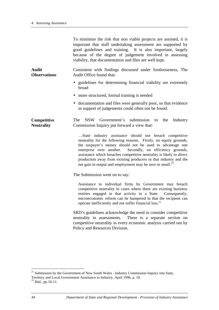|                                     | To minimise the risk that non viable projects are assisted, it is<br>important that staff undertaking assessment are supported by<br>good guidelines and training. It is also important, largely<br>because of the degree of judgement involved in assessing<br>viability, that documentation and files are well kept.                                                                                                                                                     |
|-------------------------------------|----------------------------------------------------------------------------------------------------------------------------------------------------------------------------------------------------------------------------------------------------------------------------------------------------------------------------------------------------------------------------------------------------------------------------------------------------------------------------|
| <b>Audit</b><br><b>Observations</b> | Consistent with findings discussed under footlooseness, The<br>Audit Office found that:                                                                                                                                                                                                                                                                                                                                                                                    |
|                                     | • guidelines for determining financial viability are extremely<br>broad                                                                                                                                                                                                                                                                                                                                                                                                    |
|                                     | more structured, formal training is needed<br>$\bullet$                                                                                                                                                                                                                                                                                                                                                                                                                    |
|                                     | • documentation and files were generally poor, so that evidence<br>in support of judgements could often not be found.                                                                                                                                                                                                                                                                                                                                                      |
| Competitive<br><b>Neutrality</b>    | NSW Government's submission to<br><b>The</b><br>the Industry<br>Commission Inquiry put forward a view that:                                                                                                                                                                                                                                                                                                                                                                |
|                                     | State industry assistance should not breach competitive<br>neutrality for the following reasons. Firstly, on equity grounds,<br>the taxpayer's money should not be used to advantage one<br>enterprise over another. Secondly, on efficiency grounds,<br>assistance which breaches competitive neutrality is likely to direct<br>production away from existing producers in that industry and the<br>net gain in output and employment may be zero or small. <sup>21</sup> |
|                                     | The Submission went on to say:                                                                                                                                                                                                                                                                                                                                                                                                                                             |
|                                     | Assistance to individual firms by Government may breach<br>competitive neutrality in cases where there are existing business<br>entities engaged in that activity in a State. Consequently,<br>microeconomic reform can be hampered in that the recipient can<br>operate inefficiently and not suffer financial loss. <sup>22</sup>                                                                                                                                        |
|                                     | SRD's guidelines acknowledge the need to consider competitive<br>neutrality in assessments.<br>There is a separate section on<br>competitive neutrality in every economic analysis carried out by<br>Policy and Resources Division.                                                                                                                                                                                                                                        |

<sup>&</sup>lt;sup>21</sup> Submission by the Government of New South Wales - Industry Commission Inquiry into State, Territory and Local Government Assistance to Industry, April 1996, p. 10.

 $^{22}$  Ibid., pp.10-11.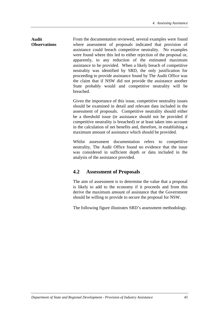#### **Observations** From the documentation reviewed, several examples were found where assessment of proposals indicated that provision of assistance could breach competitive neutrality. No examples were found where this led to either rejection of the proposal or, apparently, to any reduction of the estimated maximum assistance to be provided. When a likely breach of competitive neutrality was identified by SRD, the only justification for proceeding to provide assistance found by The Audit Office was the claim that if NSW did not provide the assistance another State probably would and competitive neutrality will be breached.

**Audit**

Given the importance of this issue, competitive neutrality issues should be examined in detail and relevant data included in the assessment of proposals. Competitive neutrality should either be a threshold issue (ie assistance should not be provided if competitive neutrality is breached) or at least taken into account in the calculation of net benefits and, therefore, in establishing a maximum amount of assistance which should be provided.

Whilst assessment documentation refers to competitive neutrality, The Audit Office found no evidence that the issue was considered in sufficient depth or data included in the analysis of the assistance provided.

# **4.2 Assessment of Proposals**

The aim of assessment is to determine the value that a proposal is likely to add to the economy if it proceeds and from this derive the maximum amount of assistance that the Government should be willing to provide to secure the proposal for NSW.

The following figure illustrates SRD's assessment methodology.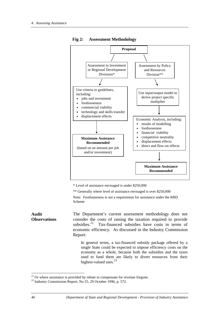

**Fig 2: Assessment Methodology**

\* Level of assistance envisaged is under \$250,000

\*\* Generally where level of assistance envisaged is over \$250,000

Note: Footlooseness is not a requirement for assistance under the RBD Scheme

**Audit Observations** The Department's current assessment methodology does not consider the costs of raising the taxation required to provide subsidies.<sup>22</sup> Tax-financed subsidies have costs in terms of economic efficiency. As discussed in the Industry Commission Report:

> In general terms, a tax-financed subsidy package offered by a single State could be expected to impose efficiency costs on the economy as a whole, because both the subsidies and the taxes used to fund them are likely to divert resources from their highest-valued uses.<sup>23</sup>

 $22$  Or where assistance is provided by rebate to compensate for revenue forgone.

<sup>23</sup> Industry Commission Report, No 55, 29 October 1996, p. 572.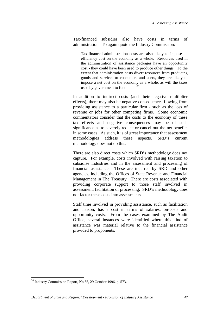Tax-financed subsidies also have costs in terms of administration. To again quote the Industry Commission:

Tax-financed administration costs are also likely to impose an efficiency cost on the economy as a whole. Resources used in the administration of assistance packages have an opportunity cost - they could have been used to produce other things. To the extent that administration costs divert resources from producing goods and services to consumers and users, they are likely to impose a net cost on the economy as a whole, as will the taxes used by government to fund them. $^{24}$ 

In addition to indirect costs (and their negative multiplier effects), there may also be negative consequences flowing from providing assistance to a particular firm - such as the loss of revenue or jobs for other competing firms. Some economic commentators consider that the costs to the economy of these tax effects and negative consequences may be of such significance as to severely reduce or cancel out the net benefits in some cases. As such, it is of great importance that assessment methodologies address these aspects. SRD's current methodology does not do this.

There are also direct costs which SRD's methodology does not capture. For example, costs involved with raising taxation to subsidise industries and in the assessment and processing of financial assistance. These are incurred by SRD and other agencies, including the Offices of State Revenue and Financial Management in The Treasury. There are costs associated with providing corporate support to those staff involved in assessment, facilitation or processing. SRD's methodology does not factor these costs into assessments.

Staff time involved in providing assistance, such as facilitation and liaison, has a cost in terms of salaries, on-costs and opportunity costs. From the cases examined by The Audit Office, several instances were identified where this kind of assistance was material relative to the financial assistance provided to proponents.

 $24$  Industry Commission Report, No 55, 29 October 1996, p. 573.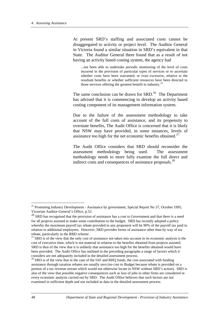At present SRD's staffing and associated costs cannot be disaggregated to activity or project level. The Auditor General in Victoria found a similar situation in SRD's equivalent in that State. The Auditor General there found that as a result of not having an activity based costing system, the agency had

...not been able to undertake periodic monitoring of the level of costs incurred in the provision of particular types of services or to ascertain whether costs have been warranted, or even excessive, relative to the resultant benefits or whether sufficient resources have been directed to those services offering the greatest benefit to industry.<sup>25</sup>

The same conclusion can be drawn for  $SRD<sup>26</sup>$ . The Department has advised that it is commencing to develop an activity based costing component of its management information system.

Due to the failure of the assessment methodology to take account of the full costs of assistance, and its propensity to overstate benefits, The Audit Office is concerned that it is likely that NSW may have provided, in some instances, levels of assistance too high for the net economic benefits obtained.<sup>27</sup>

The Audit Office considers that SRD should reconsider the assessment methodology being used. The assessment methodology needs to more fully examine the full direct and indirect costs and consequences of assistance proposals.<sup>28</sup>

<sup>&</sup>lt;sup>25</sup> Promoting Industry Development - Assistance by government, Special Report No 37, October 1995, Victorian Auditor-General's Office, p.52.

<sup>&</sup>lt;sup>26</sup> SRD has recognised that the provision of assistance has a cost to Government and that there is a need for all projects assisted to make some contribution to the budget. SRD has recently adopted a policy whereby the maximum payroll tax rebate provided to any proponent will be 90% of the payroll tax paid in relation to additional employees. However, SRD provides forms of assistance other than by way of tax rebate, particularly in the RBD scheme.

 $27$  SRD is of the view that the only cost of assistance not taken into account in its economic analysis is the cost of executive time, which is not material in relation to the benefits obtained from projects assisted. SRD is thus of the view that it is unlikely that assistance too high for the benefits obtained would have been provided. The Audit Office has outlined in the preceding paragraphs a range of factors which it considers are not adequately included in the detailed assessment process.

 $^{28}$  SRD is of the view that in the case of the IAF and RHQ funds, the cost associated with funding assistance through taxation rebates are usually zero (no cost to Budget because rebate is provided on a portion of a tax revenue stream which would not otherwise locate in NSW without SRD's action). SRD is also of the view that possible negative consequences such as loss of jobs in other firms are considered in every economic analysis carried out by SRD. The Audit Office believes that such factors are not examined in sufficient depth and not included as data in the detailed assessment process.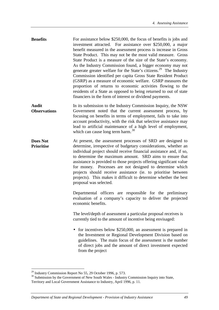- **Benefits** For assistance below \$250,000, the focus of benefits is jobs and investment attracted. For assistance over \$250,000, a major benefit measured in the assessment process is increase in Gross State Product. This may not be the most valid measure. Gross State Product is a measure of the size of the State's economy. As the Industry Commission found, a bigger economy may not generate greater welfare for the State's citizens.<sup>29</sup> The Industry Commission identified per capita Gross State Resident Product (GSRP) as a measure of economic welfare. GSRP measures the proportion of returns to economic activities flowing to the residents of a State as opposed to being returned to out of state financiers in the form of interest or dividend payments.
- **Audit Observations** In its submission to the Industry Commission Inquiry, the NSW Government noted that the current assessment process, by focusing on benefits in terms of employment, fails to take into account productivity, with the risk that selective assistance may lead to artificial maintenance of a high level of employment, which can cause long term harm.<sup>30</sup>
- **Does Not Prioritise** At present, the assessment processes of SRD are designed to determine, irrespective of budgetary considerations, whether an individual project should receive financial assistance and, if so, to determine the maximum amount. SRD aims to ensure that assistance is provided to those projects offering significant value for money. Processes are not designed to determine which projects should receive assistance (ie. to prioritise between projects). This makes it difficult to determine whether the best proposal was selected.

Departmental officers are responsible for the preliminary evaluation of a company's capacity to deliver the projected economic benefits.

The level/depth of assessment a particular proposal receives is currently tied to the amount of incentive being envisaged:

• for incentives below \$250,000, an assessment is prepared in the Investment or Regional Development Division based on guidelines. The main focus of the assessment is the number of direct jobs and the amount of direct investment expected from the project

 $29$  Industry Commission Report No 55, 29 October 1996, p. 573.

<sup>&</sup>lt;sup>30</sup> Submission by the Government of New South Wales - Industry Commission Inquiry into State, Territory and Local Government Assistance to Industry, April 1996, p. 11.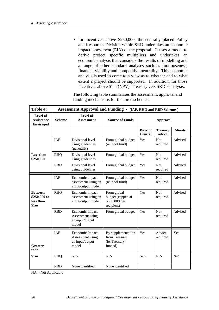• for incentives above \$250,000, the centrally placed Policy and Resources Division within SRD undertakes an economic impact assessment (EIA) of the proposal. It uses a model to derive project specific multipliers and undertakes an economic analysis that considers the results of modelling and a range of other standard analyses such as footlooseness, financial viability and competitive neutrality. This economic analysis is used to come to a view as to whether and to what extent a project should be supported. In addition, for those incentives above \$1m (NPV), Treasury vets SRD's analysis.

The following table summarises the assessment, approval and funding mechanisms for the three schemes.

| Table 4:                                            | <b>Assessment Approval and Funding - (IAF, RHQ and RBD Schemes)</b> |                                                                 |                                                                 |                                   |                           |                 |
|-----------------------------------------------------|---------------------------------------------------------------------|-----------------------------------------------------------------|-----------------------------------------------------------------|-----------------------------------|---------------------------|-----------------|
| Level of<br><b>Assistance</b><br><b>Envisaged</b>   | <b>Scheme</b>                                                       | Level of<br><b>Assessment</b>                                   | <b>Source of Funds</b>                                          | <b>Approval</b>                   |                           |                 |
|                                                     |                                                                     |                                                                 |                                                                 | <b>Director</b><br><b>General</b> | <b>Treasury</b><br>advice | <b>Minister</b> |
|                                                     | IAF                                                                 | Divisional level<br>using guidelines<br>(generally)             | From global budget<br>(ie. pool fund)                           | Yes                               | <b>Not</b><br>required    | Advised         |
| <b>Less than</b><br>\$250,000                       | <b>RHQ</b>                                                          | Divisional level<br>using guidelines                            | From global budget                                              | Yes                               | <b>Not</b><br>required    | Advised         |
|                                                     | <b>RBD</b>                                                          | Divisional level<br>using guidelines                            | From global budget                                              | Yes                               | <b>Not</b><br>required    | Advised         |
|                                                     | <b>IAF</b>                                                          | Economic impact<br>assessment using an<br>input/output model    | From global budget<br>(ie. pool fund)                           | Yes                               | <b>Not</b><br>required    | Advised         |
| <b>Between</b><br>\$250,000 to<br>less than<br>\$1m | <b>RHQ</b>                                                          | Economic impact<br>assessment using an<br>input/output model    | From global<br>budget (capped at<br>\$300,000 per<br>recipient) | Yes                               | <b>Not</b><br>required    | Advised         |
|                                                     | <b>RBD</b>                                                          | Economic Impact<br>Assessment using<br>an input/output<br>model | From global budget                                              | Yes                               | <b>Not</b><br>required    | Advised         |
| <b>Greater</b><br>than                              | <b>IAF</b>                                                          | Economic Impact<br>Assessment using<br>an input/output<br>model | By supplementation<br>from Treasury<br>(ie. Treasury<br>funded) | Yes                               | Advice<br>required        | Yes             |
| \$1m                                                | <b>RHQ</b>                                                          | N/A                                                             | N/A                                                             | N/A                               | N/A                       | N/A             |
|                                                     | <b>RBD</b>                                                          | None identified                                                 | None identified                                                 |                                   |                           |                 |

 $NA = Not Applicable$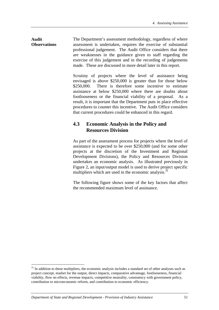**Audit Observations** The Department's assessment methodology, regardless of where assessment is undertaken, requires the exercise of substantial professional judgement. The Audit Office considers that there are weaknesses in the guidance given to staff regarding the exercise of this judgement and in the recording of judgements made. These are discussed in more detail later in this report.

> Scrutiny of projects where the level of assistance being envisaged is above \$250,000 is greater than for those below \$250,000. There is therefore some incentive to estimate assistance at below \$250,000 where there are doubts about footlooseness or the financial viability of a proposal. As a result, it is important that the Department puts in place effective procedures to counter this incentive. The Audit Office considers that current procedures could be enhanced in this regard.

# **4.3 Economic Analysis in the Policy and Resources Division**

As part of the assessment process for projects where the level of assistance is expected to be over \$250,000 (and for some other projects at the discretion of the Investment and Regional Development Divisions), the Policy and Resources Division undertakes an economic analysis. As illustrated previously in Figure 2, an input/output model is used to derive project specific multipliers which are used in the economic analysis. $31$ 

The following figure shows some of the key factors that affect the recommended maximum level of assistance.

<sup>&</sup>lt;sup>31</sup> In addition to these multipliers, the economic analysis includes a standard set of other analyses such as project concept, market for the output, direct impacts, comparative advantage, footlooseness, financial viability, flow on effects, revenue impacts, competitive neutrality, consistency with government policy, contribution to microeconomic reform, and contribution to economic efficiency.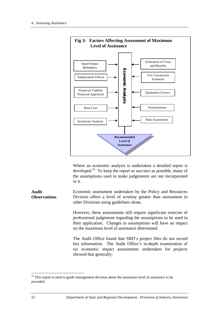

Where an economic analysis is undertaken a detailed report is developed. $32$  To keep the report as succinct as possible, many of the assumptions used to make judgements are not incorporated in it.

**Audit Observations** Economic assessment undertaken by the Policy and Resources Division offers a level of scrutiny greater than assessment in other Divisions using guidelines alone.

> However, these assessments still require significant exercise of professional judgement regarding the assumptions to be used in their application. Changes in assumptions will have an impact on the maximum level of assistance determined.

> The Audit Office found that SRD's project files do not record key information. The Audit Office's in-depth examination of six economic impact assessments undertaken for projects showed that generally:

 $32$  This report is used to guide management decision about the maximum level of assistance to be provided.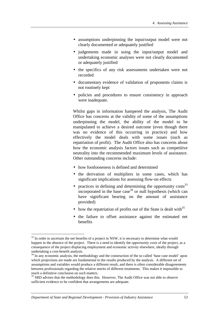- assumptions underpinning the input/output model were not clearly documented or adequately justified
- judgements made in using the input/output model and undertaking economic analyses were not clearly documented or adequately justified
- the specifics of any risk assessments undertaken were not recorded
- documentary evidence of validation of proponents claims is not routinely kept
- policies and procedures to ensure consistency in approach were inadequate.

Whilst gaps in information hampered the analysis, The Audit Office has concerns at the validity of some of the assumptions underpinning the model, the ability of the model to be manipulated to achieve a desired outcome (even though there was no evidence of this occurring in practice) and how effectively the model deals with some issues (such as repatriation of profit). The Audit Office also has concerns about how the economic analysis factors issues such as competitive neutrality into the recommended maximum levels of assistance. Other outstanding concerns include:

- how footlooseness is defined and determined
- the derivation of multipliers in some cases, which has significant implications for assessing flow-on effects
- practices in defining and determining the opportunity  $\cos(s^3)$ incorporated in the base case  $34$  or null hypothesis (which can have significant bearing on the amount of assistance provided)
- how the repatriation of profits out of the State is dealt with  $35$
- the failure to offset assistance against the estimated net benefits

<sup>&</sup>lt;sup>33</sup> In order to ascertain the net benefits of a project in NSW, it is necessary to determine what would happen in the absence of the project. There is a need to identify the *opportunity costs* of the project, as a consequence of the project displacing employment and economic activity elsewhere, ideally through undertaking a cost-benefit analysis.

 $34$  In any economic analysis, the methodology and the construction of the so called 'base case model' upon which projections are made are fundamental to the results produced by the analysis. A different set of assumptions and variables would produce a different result, and there is often considerable disagreements between professionals regarding the relative merits of different treatments. This makes it impossible to reach a definitive conclusion on such matters.

 $35$  SRD advises that the methodology does this. However, The Audit Office was not able to observe sufficient evidence to be confident that arrangements are adequate.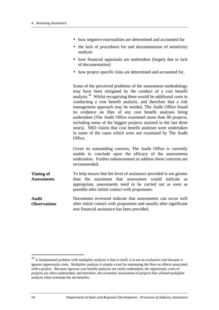- how negative externalities are determined and accounted for
- the lack of procedures for and documentation of sensitivity analysis
- how financial appraisals are undertaken (largely due to lack of documentation)
- how project specific risks are determined and accounted for.

Some of the perceived problems of the assessment methodology may have been mitigated by the conduct of a cost benefit analysis.<sup>36</sup> Whilst recognising there would be additional costs in conducting a cost benefit analysis, and therefore that a risk management approach may be needed, The Audit Office found no evidence on files of any cost benefit analyses being undertaken (The Audit Office examined more than 40 projects, including some of the biggest projects assisted in the last three years). SRD claims that cost benefit analyses were undertaken in some of the cases which were not examined by The Audit Office.

Given its outstanding concern, The Audit Office is currently unable to conclude upon the efficacy of the assessments undertaken. Further enhancements to address these concerns are recommended.

- **Timing of Assessments** To help ensure that the level of assistance provided is not greater than the maximum that assessment would indicate as appropriate, assessments need to be carried out as soon as possible after initial contact with proponents.
- **Audit Observations** Documents reviewed indicate that assessments can occur well after initial contact with proponents and usually after significant non financial assistance has been provided.

<sup>36</sup> A fundamental problem with multiplier analysis is that in itself, it is not an *evaluative* tool because it ignores opportunity costs. Multiplier analysis is simply a tool for estimating the flow on effects associated with a project. Because rigorous cost benefit analyses are rarely undertaken, the opportunity costs of projects are often understated, and therefore, the economic assessment of projects that utilised multiplier analysis often overstate the net benefits.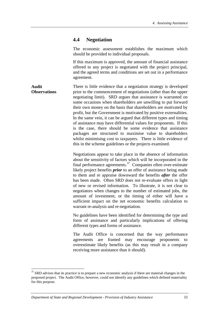## **4.4 Negotiation**

The economic assessment establishes the maximum which should be provided to individual proposals.

If this maximum is approved, the amount of financial assistance offered to any project is negotiated with the project principal, and the agreed terms and conditions are set out in a performance agreement.

**Audit Observations** There is little evidence that a negotiation strategy is developed prior to the commencement of negotiations (other than the upper negotiating limit). SRD argues that assistance is warranted on some occasions when shareholders are unwilling to put forward their own money on the basis that shareholders are motivated by profit, but the Government is motivated by positive externalities. In the same vein, it can be argued that different types and timing of assistance may have differential values for proponents. If this is the case, there should be some evidence that assistance packages are structured to maximise value to shareholders whilst minimising cost to taxpayers. There is little evidence of this in the scheme guidelines or the projects examined.

> Negotiations appear to take place in the absence of information about the sensitivity of factors which will be incorporated in the final performance agreements. $37$  Companies often over-estimate likely project benefits *prior* to an offer of assistance being made to them and re appraise downward the benefits *after* the offer has been made. Often SRD does not re-evaluate offers in light of new or revised information. To illustrate, it is not clear to negotiators when changes to the number of estimated jobs, the amount of investment, or the timing of either will have a sufficient impact on the net economic benefits calculation to warrant re-analysis and re-negotiation.

> No guidelines have been identified for determining the type and form of assistance and particularly implications of offering different types and forms of assistance.

> The Audit Office is concerned that the way performance agreements are framed may encourage proponents to overestimate likely benefits (as this may result in a company receiving more assistance than it should).

<sup>&</sup>lt;sup>37</sup> SRD advises that its practice is to prepare a new economic analysis if there are material changes in the proposed project. The Audit Office, however, could not identify any guidelines which defined materiality for this purpose.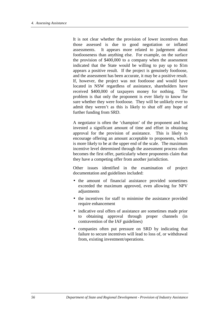It is not clear whether the provision of lower incentives than those assessed is due to good negotiation or inflated assessments. It appears more related to judgement about footlooseness than anything else. For example, on the surface the provision of \$400,000 to a company when the assessment indicated that the State would be willing to pay up to \$1m appears a positive result. If the project is genuinely footloose, and the assessment has been accurate, it may be a positive result. If, however, the project was not footloose and would have located in NSW regardless of assistance, shareholders have received \$400,000 of taxpayers money for nothing. The problem is that only the proponent is ever likely to know for sure whether they were footloose. They will be unlikely ever to admit they weren't as this is likely to shut off any hope of further funding from SRD.

A negotiator is often the 'champion' of the proponent and has invested a significant amount of time and effort in obtaining approval for the provision of assistance. This is likely to encourage offering an amount acceptable to proponents, which is more likely to be at the upper end of the scale. The maximum incentive level determined through the assessment process often becomes the first offer, particularly where proponents claim that they have a competing offer from another jurisdiction.

Other issues identified in the examination of project documentation and guidelines included:

- the amount of financial assistance provided sometimes exceeded the maximum approved, even allowing for NPV adjustments
- the incentives for staff to minimise the assistance provided require enhancement
- indicative oral offers of assistance are sometimes made prior to obtaining approval through proper channels (in contravention of the IAF guidelines)
- companies often put pressure on SRD by indicating that failure to secure incentives will lead to loss of, or withdrawal from, existing investment/operations.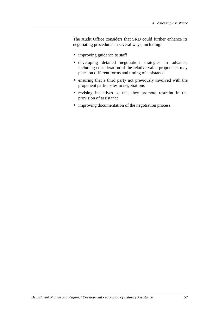The Audit Office considers that SRD could further enhance its negotiating procedures in several ways, including:

- improving guidance to staff
- developing detailed negotiation strategies in advance, including consideration of the relative value proponents may place on different forms and timing of assistance
- ensuring that a third party not previously involved with the proponent participates in negotiations
- revising incentives so that they promote restraint in the provision of assistance
- improving documentation of the negotiation process.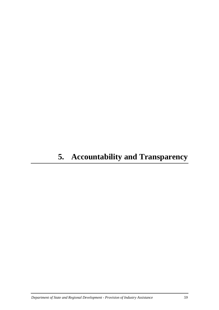# **5. Accountability and Transparency**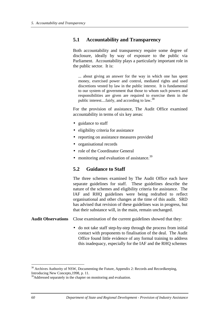## **5.1 Accountability and Transparency**

Both accountability and transparency require some degree of disclosure, ideally by way of exposure to the public via Parliament. Accountability plays a particularly important role in the public sector. It is:

... about giving an answer for the way in which one has spent money, exercised power and control, mediated rights and used discretions vested by law in the public interest. It is fundamental to our system of government that those to whom such powers and responsibilities are given are required to exercise them in the public interest....fairly, and according to law.<sup>38</sup>

For the provision of assistance, The Audit Office examined accountability in terms of six key areas:

- guidance to staff
- eligibility criteria for assistance
- reporting on assistance measures provided
- organisational records
- role of the Coordinator General
- monitoring and evaluation of assistance. $39$

### **5.2 Guidance to Staff**

The three schemes examined by The Audit Office each have separate guidelines for staff. These guidelines describe the nature of the schemes and eligibility criteria for assistance. The IAF and RHQ guidelines were being redrafted to reflect organisational and other changes at the time of this audit. SRD has advised that revision of these guidelines was in progress, but that their substance will, in the main, remain unchanged.

- **Audit Observations** Close examination of the current guidelines showed that they:
	- do not take staff step-by-step through the process from initial contact with proponents to finalisation of the deal. The Audit Office found little evidence of any formal training to address this inadequacy, especially for the IAF and the RHQ schemes

 $38$  Archives Authority of NSW, Documenting the Future, Appendix 2: Records and Recordkeeping, Introducing New Concepts,1998, p. 11.

<sup>&</sup>lt;sup>39</sup>Addressed separately in the chapter on monitoring and evaluation.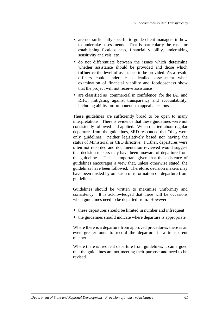- are not sufficiently specific to guide client managers in how to undertake assessments. That is particularly the case for establishing footlooseness, financial viability, undertaking sensitivity analysis, etc
- do not differentiate between the issues which **determine** whether assistance should be provided and those which **influence** the level of assistance to be provided. As a result, officers could undertake a detailed assessment when examination of financial viability and footlooseness show that the project will not receive assistance
- are classified as 'commercial in confidence' for the IAF and RHQ, mitigating against transparency and accountability, including ability for proponents to appeal decisions.

These guidelines are sufficiently broad to be open to many interpretations. There is evidence that these guidelines were not consistently followed and applied. When queried about regular departures from the guidelines, SRD responded that "they were only guidelines", neither legislatively based nor having the status of Ministerial or CEO directive. Further, departures were often not recorded and documentation reviewed would suggest that decision makers may have been unaware of departure from the guidelines. This is important given that the existence of guidelines encourages a view that, unless otherwise stated, the guidelines have been followed. Therefore, decision makers may have been misled by omission of information on departure from guidelines.

Guidelines should be written to maximise uniformity and consistency. It is acknowledged that there will be occasions when guidelines need to be departed from. However:

- these departures should be limited in number and infrequent
- the guidelines should indicate where departure is appropriate.

Where there is a departure from approved procedures, there is an even greater onus to record the departure in a transparent manner.

Where there is frequent departure from guidelines, it can argued that the guidelines are not meeting their purpose and need to be revised.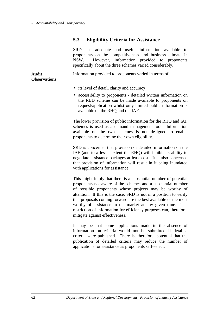# **5.3 Eligibility Criteria for Assistance**

|                                     | SRD has adequate and useful information available to<br>proponents on the competitiveness and business climate in<br>However, information provided to proponents<br>NSW.<br>specifically about the three schemes varied considerably. |  |  |  |  |  |
|-------------------------------------|---------------------------------------------------------------------------------------------------------------------------------------------------------------------------------------------------------------------------------------|--|--|--|--|--|
| <b>Audit</b><br><b>Observations</b> | Information provided to proponents varied in terms of:                                                                                                                                                                                |  |  |  |  |  |
|                                     | • its level of detail, clarity and accuracy<br>• accessibility to proponents - detailed written information on                                                                                                                        |  |  |  |  |  |

• accessibility to proponents - detailed written information on the RBD scheme can be made available to proponents on request/application whilst only limited public information is available on the RHQ and the IAF.

The lower provision of public information for the RHQ and IAF schemes is used as a demand management tool. Information available on the two schemes is not designed to enable proponents to determine their own eligibility.

SRD is concerned that provision of detailed information on the IAF (and to a lesser extent the RHQ) will inhibit its ability to negotiate assistance packages at least cost. It is also concerned that provision of information will result in it being inundated with applications for assistance.

This might imply that there is a substantial number of potential proponents not aware of the schemes and a substantial number of possible proponents whose projects may be worthy of attention. If this is the case, SRD is not in a position to verify that proposals coming forward are the best available or the most worthy of assistance in the market at any given time. The restriction of information for efficiency purposes can, therefore, mitigate against effectiveness.

It may be that some applications made in the absence of information on criteria would not be submitted if detailed criteria were published. There is, therefore, potential that the publication of detailed criteria may reduce the number of applications for assistance as proponents self-select.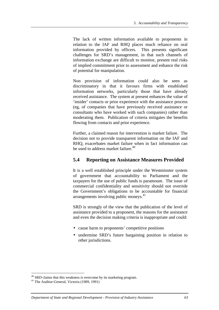The lack of written information available to proponents in relation to the IAF and RHQ places much reliance on oral information provided by officers. This presents significant challenges for SRD's management, in that such channels of information exchange are difficult to monitor, present real risks of implied commitment prior to assessment and enhance the risk of potential for manipulation.

Non provision of information could also be seen as discriminatory in that it favours firms with established information networks, particularly those that have already received assistance. The system at present enhances the value of 'insider' contacts or prior experience with the assistance process (eg, of companies that have previously received assistance or consultants who have worked with such companies) rather than moderating them. Publication of criteria mitigates the benefits flowing from contacts and prior experience.

Further, a claimed reason for intervention is market failure. The decision not to provide transparent information on the IAF and RHQ, exacerbates market failure when in fact information can be used to address market failure.<sup>40</sup>

# **5.4 Reporting on Assistance Measures Provided**

It is a well established principle under the Westminster system of government that accountability to Parliament and the taxpayers for the use of public funds is paramount. The issue of commercial confidentiality and sensitivity should not override the Government's obligations to be accountable for financial arrangements involving public moneys.<sup>41</sup>

SRD is strongly of the view that the publication of the level of assistance provided to a proponent, the reasons for the assistance and even the decision making criteria is inappropriate and could:

- cause harm to proponents' competitive positions
- undermine SRD's future bargaining position in relation to other jurisdictions.

<sup>&</sup>lt;sup>40</sup> SRD claims that this weakness is overcome by its marketing program.

<sup>41</sup> The Auditor-General, Victoria (1989, 1991)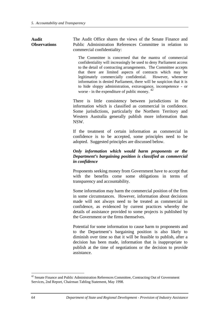**Audit Observations** The Audit Office shares the views of the Senate Finance and Public Administration References Committee in relation to commercial confidentiality:

The Committee is concerned that the mantra of commercial confidentiality will increasingly be used to deny Parliament access to the detail of contracting arrangements. The Committee accepts that there are limited aspects of contracts which may be legitimately commercially confidential. However, whenever information is denied Parliament, there will be suspicion that it is to hide sloppy administration, extravagance, incompetence - or worse - in the expenditure of public money. <sup>42</sup>

There is little consistency between jurisdictions in the information which is classified as commercial in confidence. Some jurisdictions, particularly the Northern Territory and Western Australia generally publish more information than NSW.

If the treatment of certain information as commercial in confidence is to be accepted, some principles need to be adopted. Suggested principles are discussed below.

### *Only information which would harm proponents or the Department's bargaining position is classified as commercial in confidence*

Proponents seeking money from Government have to accept that with the benefits come some obligations in terms of transparency and accountability.

Some information may harm the commercial position of the firm in some circumstances. However, information about decisions made will not always need to be treated as commercial in confidence, as evidenced by current practices whereby the details of assistance provided to some projects is published by the Government or the firms themselves.

Potential for some information to cause harm to proponents and to the Department's bargaining position is also likely to diminish over time so that it will be feasible to publish, after a decision has been made, information that is inappropriate to publish at the time of negotiations or the decision to provide assistance.

<sup>&</sup>lt;sup>42</sup> Senate Finance and Public Administration References Committee, Contracting Out of Government Services, 2nd Report, Chairman Tabling Statement, May 1998.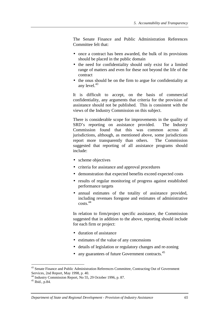The Senate Finance and Public Administration References Committee felt that:

- once a contract has been awarded, the bulk of its provisions should be placed in the public domain
- the need for confidentiality should only exist for a limited range of matters and even for these not beyond the life of the contract
- the onus should be on the firm to argue for confidentiality at any level. $43$

It is difficult to accept, on the basis of commercial confidentiality, any arguments that criteria for the provision of assistance should not be published. This is consistent with the views of the Industry Commission on this subject.

There is considerable scope for improvements in the quality of SRD's reporting on assistance provided. The Industry Commission found that this was common across all jurisdictions, although, as mentioned above, some jurisdictions report more transparently than others. The Commission suggested that reporting of all assistance programs should include:

- scheme objectives
- criteria for assistance and approval procedures
- demonstration that expected benefits exceed expected costs
- results of regular monitoring of progress against established performance targets
- annual estimates of the totality of assistance provided, including revenues foregone and estimates of administrative costs.44

In relation to firm/project specific assistance, the Commission suggested that in addition to the above, reporting should include for each firm or project:

- duration of assistance
- estimates of the value of any concessions
- details of legislation or regulatory changes and re-zoning
- any guarantees of future Government contracts. $45$

<sup>&</sup>lt;sup>43</sup> Senate Finance and Public Administration References Committee, Contracting Out of Government Services, 2nd Report, May 1998, p. 40.

<sup>&</sup>lt;sup>44</sup> Industry Commission Report, No 55, 29 October 1996, p. 87.

 $45$  Ibid., p.84.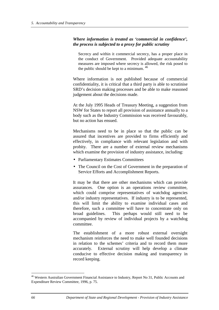#### *Where information is treated as 'commercial in confidence', the process is subjected to a proxy for public scrutiny*

Secrecy and within it commercial secrecy, has a proper place in the conduct of Government. Provided adequate accountability measures are imposed where secrecy is allowed, the risk posed to the public should be kept to a minimum. 46

Where information is not published because of commercial confidentiality, it is critical that a third party is able to scrutinise SRD's decision making processes and be able to make reasoned judgement about the decisions made.

At the July 1995 Heads of Treasury Meeting, a suggestion from NSW for States to report all provision of assistance annually to a body such as the Industry Commission was received favourably, but no action has ensued.

Mechanisms need to be in place so that the public can be assured that incentives are provided to firms efficiently and effectively, in compliance with relevant legislation and with probity. There are a number of external review mechanisms which examine the provision of industry assistance, including:

- Parliamentary Estimates Committees
- The Council on the Cost of Government in the preparation of Service Efforts and Accomplishment Reports.

It may be that there are other mechanisms which can provide assurances. One option is an operations review committee, which could comprise representatives of watchdog agencies and/or industry representatives. If industry is to be represented, this will limit the ability to examine individual cases and therefore, such a committee will have to concentrate only on broad guidelines. This perhaps would still need to be accompanied by review of individual projects by a watchdog committee.

The establishment of a more robust external oversight mechanism reinforces the need to make well founded decisions in relation to the schemes' criteria and to record them more accurately. External scrutiny will help develop a climate conducive to effective decision making and transparency in record keeping.

<sup>&</sup>lt;sup>46</sup> Western Australian Government Financial Assistance to Industry, Report No 31, Public Accounts and Expenditure Review Committee, 1996, p. 75.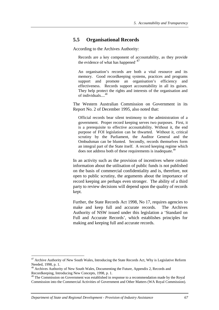# **5.5 Organisational Records**

According to the Archives Authority:

Records are a key component of accountability, as they provide the evidence of what has happened.  $47$ 

An organisation's records are both a vital resource and its memory. Good recordkeeping systems, practices and programs support and promote an organisation's efficiency and effectiveness. Records support accountability in all its guises. They help protect the rights and interests of the organisation and of individuals. $\ldots$ 

The Western Australian Commission on Government in its Report No. 2 of December 1995, also noted that:

Official records bear silent testimony to the administration of a government. Proper record keeping serves two purposes. First, it is a prerequisite to effective accountability. Without it, the end purpose of FOI legislation can be thwarted. Without it, critical scrutiny by the Parliament, the Auditor General and the Ombudsman can be blunted. Secondly, records themselves form an integral part of the State itself. A record keeping regime which does not address both of these requirements is inadequate.<sup>49</sup>

In an activity such as the provision of incentives where certain information about the utilisation of public funds is not published on the basis of commercial confidentiality and is, therefore, not open to public scrutiny, the arguments about the importance of record keeping are perhaps even stronger. The ability of a third party to review decisions will depend upon the quality of records kept.

Further, the State Records Act 1998, No 17, requires agencies to make and keep full and accurate records. The Archives Authority of NSW issued under this legislation a 'Standard on Full and Accurate Records', which establishes principles for making and keeping full and accurate records.

 $47$  Archive Authority of New South Wales, Introducing the State Records Act, Why is Legislative Reform Needed, 1998, p. 1.

<sup>&</sup>lt;sup>48</sup> Archives Authority of New South Wales, Documenting the Future, Appendix 2, Records and Recordkeeping, Introducing New Concepts, 1998, p. 1.

<sup>&</sup>lt;sup>49</sup> The Commission on Government was established in response to a recommendation made by the Royal Commission into the Commercial Activities of Government and Other Matters (WA Royal Commission).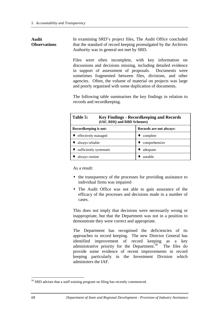**Audit**

**Observations** In examining SRD's project files, The Audit Office concluded that the standard of record keeping promulgated by the Archives Authority was in general not met by SRD.

> Files were often incomplete, with key information on discussions and decisions missing, including detailed evidence in support of assessment of proposals. Documents were sometimes fragmented between files, divisions, and other agencies. Often, the volume of material on projects was large and poorly organised with some duplication of documents.

> The following table summarises the key findings in relation to records and recordkeeping.

| Table 5:<br><b>Key Findings - Record keeping and Records</b><br>(IAF, RHQ and RBD Schemes) |                         |  |  |  |
|--------------------------------------------------------------------------------------------|-------------------------|--|--|--|
| Record keeping is not:                                                                     | Records are not always: |  |  |  |
| effectively managed                                                                        | complete                |  |  |  |
| always reliable                                                                            | comprehensive           |  |  |  |
| sufficiently systematic                                                                    | adequate                |  |  |  |
| always routine                                                                             | useable                 |  |  |  |

As a result:

- the transparency of the processes for providing assistance to individual firms was impaired
- The Audit Office was not able to gain assurance of the efficacy of the processes and decisions made in a number of cases.

This does not imply that decisions were necessarily wrong or inappropriate, but that the Department was not in a position to demonstrate they were correct and appropriate.

The Department has recognised the deficiencies of its approaches to record keeping. The new Director General has identified improvement of record keeping as a key administrative priority for the Department.<sup>50</sup> The files do provide some evidence of recent improvements in record keeping particularly in the Investment Division which administers the IAF.

<sup>&</sup>lt;sup>50</sup> SRD advises that a staff training program on filing has recently commenced.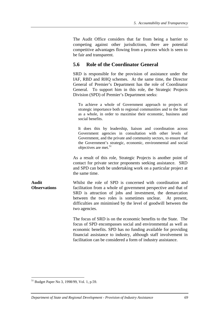The Audit Office considers that far from being a barrier to competing against other jurisdictions, there are potential competitive advantages flowing from a process which is seen to be fair and transparent.

## **5.6 Role of the Coordinator General**

SRD is responsible for the provision of assistance under the IAF, RBD and RHQ schemes. At the same time, the Director General of Premier's Department has the role of Coordinator General. To support him in this role, the Strategic Projects Division (SPD) of Premier's Department seeks:

To achieve a whole of Government approach to projects of strategic importance both to regional communities and to the State as a whole, in order to maximise their economic, business and social benefits.

It does this by leadership, liaison and coordination across Government agencies in consultation with other levels of Government, and the private and community sectors, to ensure that the Government's strategic, economic, environmental and social objectives are met.<sup>51</sup>

As a result of this role, Strategic Projects is another point of contact for private sector proponents seeking assistance. SRD and SPD can both be undertaking work on a particular project at the same time.

**Audit Observations** Whilst the role of SPD is concerned with coordination and facilitation from a whole of government perspective and that of SRD is attraction of jobs and investment, the demarcation between the two roles is sometimes unclear. At present, difficulties are minimised by the level of goodwill between the two agencies.

> The focus of SRD is on the economic benefits to the State. The focus of SPD encompasses social and environmental as well as economic benefits. SPD has no funding available for providing financial assistance to industry, although staff involvement in facilitation can be considered a form of industry assistance.

<sup>51</sup> Budget Paper No 3, 1998/99, Vol. 1, p.59.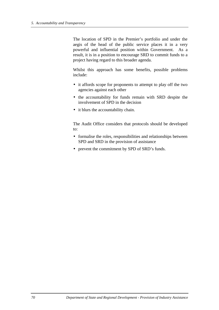The location of SPD in the Premier's portfolio and under the aegis of the head of the public service places it in a very powerful and influential position within Government. As a result, it is in a position to encourage SRD to commit funds to a project having regard to this broader agenda.

Whilst this approach has some benefits, possible problems include:

- it affords scope for proponents to attempt to play off the two agencies against each other
- the accountability for funds remain with SRD despite the involvement of SPD in the decision
- it blurs the accountability chain.

The Audit Office considers that protocols should be developed to:

- formalise the roles, responsibilities and relationships between SPD and SRD in the provision of assistance
- prevent the commitment by SPD of SRD's funds.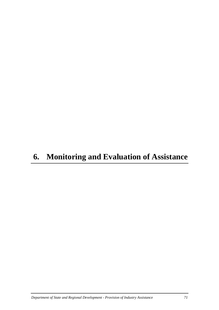# **6. Monitoring and Evaluation of Assistance**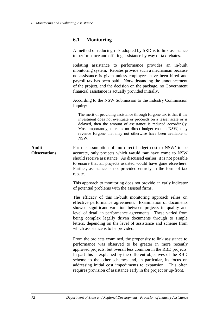### **6.1 Monitoring**

A method of reducing risk adopted by SRD is to link assistance to performance and offering assistance by way of tax rebates.

Relating assistance to performance provides an in-built monitoring system. Rebates provide such a mechanism because no assistance is given unless employees have been hired and payroll tax has been paid. Notwithstanding the announcement of the project, and the decision on the package, no Government financial assistance is actually provided initially.

According to the NSW Submission to the Industry Commission Inquiry:

The merit of providing assistance through forgone tax is that if the investment does not eventuate or proceeds on a lesser scale or is delayed, then the amount of assistance is reduced accordingly. Most importantly, there is no direct budget cost to NSW, only revenue forgone that may not otherwise have been available to NSW.

**Audit Observations** For the assumption of 'no direct budget cost to NSW' to be accurate, only projects which **would not** have come to NSW should receive assistance. As discussed earlier, it is not possible to ensure that all projects assisted would have gone elsewhere. Further, assistance is not provided entirely in the form of tax rebate.

> This approach to monitoring does not provide an early indicator of potential problems with the assisted firms.

> The efficacy of this in-built monitoring approach relies on effective performance agreements. Examination of documents showed significant variation between projects in quality and level of detail in performance agreements. These varied from being complex legally driven documents through to simple letters, depending on the level of assistance and scheme from which assistance is to be provided.

> From the projects examined, the propensity to link assistance to performance was observed to be greater in more recently approved projects, but overall less common in the RBD projects. In part this is explained by the different objectives of the RBD scheme to the other schemes and, in particular, its focus on addressing initial cost impediments to expansion. This often requires provision of assistance early in the project or up-front.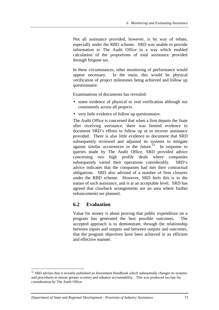Not all assistance provided, however, is by way of rebate, especially under the RBD scheme. SRD was unable to provide information to The Audit Office in a way which enabled calculation of the proportions of total assistance provided through forgone tax.

In these circumstances, other monitoring of performance would appear necessary. In the main, this would be physical verification of project milestones being achieved and follow up questionnaire.

Examinations of documents has revealed:

- some evidence of physical or oral verification although not consistently across all projects
- very little evidence of follow up questionnaire.

The Audit Office is concerned that when a firm departs the State after receiving assistance, there was limited evidence to document SRD's efforts to follow up or to recover assistance provided. There is also little evidence to document that SRD subsequently reviewed and adjusted its systems to mitigate against similar occurrences in the future.<sup>52</sup> In response to queries made by The Audit Office, SRD provided advice concerning two high profile deals where companies subsequently varied their operations considerably. SRD's advice indicates that the companies had met their contractual obligations. SRD also advised of a number of firm closures under the RBD scheme. However, SRD feels this is in the nature of such assistance, and is at an acceptable level. SRD has agreed that clawback arrangements are an area where further enhancements are planned.

### **6.2 Evaluation**

Value for money is about proving that public expenditure on a program has generated the best possible outcomes. The accepted approach is to demonstrate, through the relationship between inputs and outputs and between outputs and outcomes, that the program objectives have been achieved in an efficient and effective manner.

 $52$  SRD advises that it recently published an Investment Handbook which substantially changes its systems and procedures to ensure greater scrutiny and enhance accountability. This was produced too late for consideration by The Audit Office.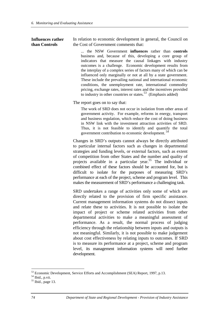#### **Influences rather than Controls**

In relation to economic development in general, the Council on the Cost of Government comments that:

... the NSW Government **influences** rather than **controls** business and, because of this, developing a core group of indicators that measure the causal linkages with industry outcomes is a challenge. Economic development results from the interplay of a complex series of factors many of which can be influenced only marginally or not at all by a state government. These include the prevailing national and international economic conditions, the unemployment rate, international commodity pricing, exchange rates, interest rates and the incentives provided to industry in other countries or states.<sup>53</sup> (Emphasis added)

The report goes on to say that:

The work of SRD does not occur in isolation from other areas of government activity. For example, reforms in energy, transport and business regulation, which reduce the cost of doing business in NSW link with the investment attraction activities of SRD. Thus, it is not feasible to identify and quantify the total government contribution to economic development. <sup>54</sup>

Changes in SRD's outputs cannot always be directly attributed to particular internal factors such as changes in departmental strategies and funding levels, or external factors, such as extent of competition from other States and the number and quality of projects available in a particular year.<sup>55</sup> The individual or combined effect of these factors should be accounted for, but is difficult to isolate for the purposes of measuring SRD's performance at each of the project, scheme and program level. This makes the measurement of SRD's performance a challenging task.

SRD undertakes a range of activities only some of which are directly related to the provision of firm specific assistance. Current management information systems do not dissect inputs and relate these to activities. It is not possible to isolate the impact of project or scheme related activities from other departmental activities to make a meaningful assessment of performance. As a result, the normal process of judging efficiency through the relationship between inputs and outputs is not meaningful. Similarly, it is not possible to make judgement about cost effectiveness by relating inputs to outcomes. If SRD is to measure its performance at a project, scheme and program level, its management information systems will need further development.

<sup>&</sup>lt;sup>53</sup> Economic Development, Service Efforts and Accomplishment (SEA) Report, 1997, p.13.

<sup>54</sup> Ibid., p.vii.

 $<sup>55</sup>$  Ibid., page 13.</sup>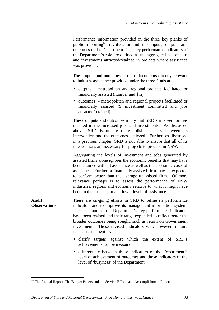Performance information provided in the three key planks of public reporting<sup>56</sup> revolves around the inputs, outputs and outcomes of the Department. The key performance indicators of the Department's role are defined as the aggregate level of jobs and investments attracted/retained in projects where assistance was provided.

The outputs and outcomes in these documents directly relevant to industry assistance provided under the three funds are:

- outputs metropolitan and regional projects facilitated or financially assisted (number and \$m)
- outcomes metropolitan and regional projects facilitated or financially assisted (\$ investment committed and jobs attracted/retained).

These outputs and outcomes imply that SRD's intervention has resulted in the increased jobs and investments. As discussed above, SRD is unable to establish causality between its intervention and the outcomes achieved. Further, as discussed in a previous chapter, SRD is not able to ensure that all of its interventions are necessary for projects to proceed in NSW.

Aggregating the levels of investment and jobs generated by assisted firms alone ignores the economic benefits that may have been attained without assistance as well as the economic costs of assistance. Further, a financially assisted firm may be expected to perform better than the average unassisted firm. Of more relevance perhaps is to assess the performance of NSW industries, regions and economy relative to what it might have been in the absence, or at a lower level, of assistance.

**Audit Observations** There are on-going efforts in SRD to refine its performance indicators and to improve its management information system. In recent months, the Department's key performance indicators have been revised and their range expanded to reflect better the broader outcomes being sought, such as return on Government investment. These revised indicators will, however, require further refinement to:

- clarify targets against which the extent of SRD's achievements can be measured
- differentiate between those indicators of the Department's level of achievement of outcomes and those indicators of the level of 'busyness' of the Department

<sup>&</sup>lt;sup>56</sup> The Annual Report, The Budget Papers and the Service Efforts and Accomplishment Report.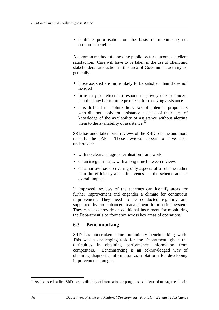• facilitate prioritisation on the basis of maximising net economic benefits.

A common method of assessing public sector outcomes is client satisfaction. Care will have to be taken in the use of client and stakeholders satisfaction in this area of Government activity as, generally:

- those assisted are more likely to be satisfied than those not assisted
- firms may be reticent to respond negatively due to concern that this may harm future prospects for receiving assistance
- it is difficult to capture the views of potential proponents who did not apply for assistance because of their lack of knowledge of the availability of assistance without alerting them to the availability of assistance. $57$

SRD has undertaken brief reviews of the RBD scheme and more recently the IAF. These reviews appear to have been undertaken:

- with no clear and agreed evaluation framework
- on an irregular basis, with a long time between reviews
- on a narrow basis, covering only aspects of a scheme rather than the efficiency and effectiveness of the scheme and its overall impact.

If improved, reviews of the schemes can identify areas for further improvement and engender a climate for continuous improvement. They need to be conducted regularly and supported by an enhanced management information system. They can also provide an additional instrument for monitoring the Department's performance across key areas of operations.

### **6.3 Benchmarking**

SRD has undertaken some preliminary benchmarking work. This was a challenging task for the Department, given the difficulties in obtaining performance information from competitors. Benchmarking is an acknowledged way of obtaining diagnostic information as a platform for developing improvement strategies.

 $57$  As discussed earlier, SRD uses availability of information on programs as a 'demand management tool'.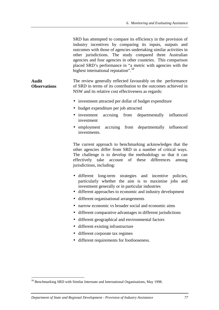| SRD has attempted to compare its efficiency in the provision of   |  |  |  |  |
|-------------------------------------------------------------------|--|--|--|--|
| industry incentives by comparing its inputs, outputs and          |  |  |  |  |
| outcomes with those of agencies undertaking similar activities in |  |  |  |  |
| other jurisdictions. The study compared three Australian          |  |  |  |  |
| agencies and four agencies in other countries. This comparison    |  |  |  |  |
| placed SRD's performance in "a metric with agencies with the      |  |  |  |  |
| highest international reputation". <sup>58</sup>                  |  |  |  |  |

**Audit Observations** The review generally reflected favourably on the performance of SRD in terms of its contribution to the outcomes achieved in NSW and its relative cost effectiveness as regards:

- investment attracted per dollar of budget expenditure
- budget expenditure per job attracted
- investment accruing from departmentally influenced investment
- employment accruing from departmentally influenced investments.

The current approach to benchmarking acknowledges that the other agencies differ from SRD in a number of critical ways. The challenge is to develop the methodology so that it can effectively take account of these differences among jurisdictions, including:

- different long-term strategies and incentive policies, particularly whether the aim is to maximise jobs and investment generally or in particular industries
- different approaches to economic and industry development
- different organisational arrangements
- narrow economic vs broader social and economic aims
- different comparative advantages in different jurisdictions
- different geographical and environmental factors
- different existing infrastructure
- different corporate tax regimes
- different requirements for footlooseness.

<sup>&</sup>lt;sup>58</sup> Benchmarking SRD with Similar Interstate and International Organisations, May 1998.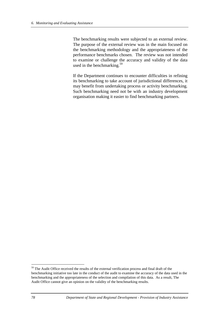The benchmarking results were subjected to an external review. The purpose of the external review was in the main focused on the benchmarking methodology and the appropriateness of the performance benchmarks chosen. The review was not intended to examine or challenge the accuracy and validity of the data used in the benchmarking.<sup>59</sup>

If the Department continues to encounter difficulties in refining its benchmarking to take account of jurisdictional differences, it may benefit from undertaking process or activity benchmarking. Such benchmarking need not be with an industry development organisation making it easier to find benchmarking partners.

<sup>&</sup>lt;sup>59</sup> The Audit Office received the results of the external verification process and final draft of the benchmarking initiative too late in the conduct of the audit to examine the accuracy of the data used in the benchmarking and the appropriateness of the selection and compilation of this data. As a result, The Audit Office cannot give an opinion on the validity of the benchmarking results.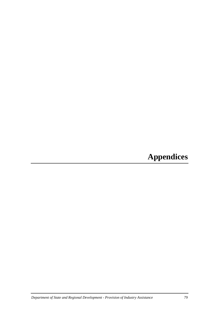# **Appendices**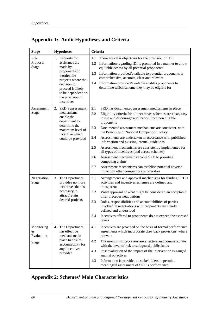# **Appendix 1: Audit Hypotheses and Criteria**

| <b>Stage</b>                                  | <b>Hypotheses</b>                                                                                                                                                                             | Criteria                                                                                                                                                                                                                                                                                                                                                                                                                                                                                                                                                                                                                                                                                                                                            |
|-----------------------------------------------|-----------------------------------------------------------------------------------------------------------------------------------------------------------------------------------------------|-----------------------------------------------------------------------------------------------------------------------------------------------------------------------------------------------------------------------------------------------------------------------------------------------------------------------------------------------------------------------------------------------------------------------------------------------------------------------------------------------------------------------------------------------------------------------------------------------------------------------------------------------------------------------------------------------------------------------------------------------------|
| Pre-<br>Proposal<br><b>Stage</b>              | 1. Requests for<br>assistance are<br>made by<br>proponents of<br>worthwhile<br>projects where the<br>decision to<br>proceed is likely<br>to be dependent on<br>the provision of<br>incentives | There are clear objectives for the provision of IDI<br>1.1<br>1.2<br>Information regarding IDI is promoted in a manner to allow<br>equitable access by all potential proponents<br>Information provided/available to potential proponents is<br>1.3<br>comprehensive, accurate, clear and relevant<br>Information provided/available enables proponents to<br>1.4<br>determine which scheme they may be eligible for                                                                                                                                                                                                                                                                                                                                |
| Assessment<br><b>Stage</b>                    | 2. SRD's assessment<br>mechanisms<br>enable the<br>department to<br>determine the<br>maximum level of<br>incentive which<br>could be provided                                                 | 2.1<br>SRD has documented assessment mechanisms in place<br>2.2<br>Eligibility criteria for all incentives schemes are clear, easy<br>to use and discourage application from non eligible<br>proponents<br>2.3<br>Documented assessment mechanisms are consistent with<br>the Principles of National Competition Policy<br>2.4<br>Assessments are undertaken in accordance with published<br>information and existing internal guidelines<br>2.5<br>Assessment mechanisms are consistently implemented for<br>all types of incentives (and across schemes)<br>2.6<br>Assessment mechanisms enable SRD to prioritise<br>competing claims<br>2.7<br>Assessment mechanisms can establish potential adverse<br>impact on other competitors or operators |
| Negotiation<br><b>Stage</b>                   | 3. The Department<br>provides no more<br>incentives than is<br>necessary to<br>attract/retain<br>desired projects                                                                             | 3.1<br>Arrangements and approval mechanisms for funding SRD's<br>activities and incentives schemes are defined and<br>transparent<br>3.2<br>Valid appraisal of what might be considered an acceptable<br>offer precedes negotiations<br>3.3<br>Roles, responsibilities and accountabilities of parties<br>involved in negotiations with proponents are clearly<br>defined and understood<br>Incentives offered to proponents do not exceed the assessed<br>3.4<br>levels                                                                                                                                                                                                                                                                            |
| Monitoring<br>&<br>Evaluation<br><b>Stage</b> | 4. The Department<br>has effective<br>mechanisms in<br>place to ensure<br>accountability for<br>any incentives<br>provided                                                                    | Incentives are provided on the basis of formal performance<br>4.1<br>agreements which incorporate claw back provisions, where<br>relevant.<br>4.2<br>The monitoring processes are effective and commensurate<br>with the level of risk to safeguard public funds<br>Post evaluation of the impact of the intervention is gauged<br>4.3<br>against objectives<br>4.3<br>Information is provided to stakeholders to permit a<br>meaningful assessment of SRD's performance                                                                                                                                                                                                                                                                            |

# **Appendix 2: Schemes' Main Characteristics**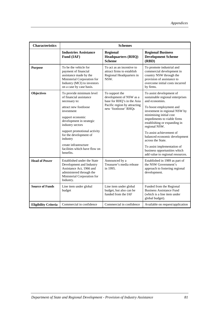| <b>Characteristics</b>                                              | <b>Schemes</b>                                                                                                                                                    |                                                                                             |                                                                                                                                                                     |  |
|---------------------------------------------------------------------|-------------------------------------------------------------------------------------------------------------------------------------------------------------------|---------------------------------------------------------------------------------------------|---------------------------------------------------------------------------------------------------------------------------------------------------------------------|--|
|                                                                     | <b>Industries Assistance</b><br>Fund (IAF)                                                                                                                        | <b>Regional</b><br><b>Headquarters (RHQ)</b><br><b>Scheme</b>                               | <b>Regional Business</b><br><b>Development Scheme</b><br>(RBD)                                                                                                      |  |
| <b>Purpose</b>                                                      | To be the vehicle for<br>payment of financial<br>assistance made by the<br>Ministerial Corporation for<br>Industry (MCI) to investors<br>on a case by case basis. | To act as an incentive to<br>attract firms to establish<br>Regional Headquarters in<br>NSW. | To promote industrial and<br>commercial development in<br>country NSW through the<br>provision of assistance to<br>overcome initial costs incurred<br>by firms.     |  |
| <b>Objectives</b>                                                   | To provide minimum level<br>of financial assistance<br>necessary to:                                                                                              | To support the<br>development of NSW as a<br>base for RHQ's in the Asia                     | To assist development of<br>sustainable regional enterprises<br>and economies.                                                                                      |  |
|                                                                     | attract new footloose<br>investment<br>support economic<br>development in strategic<br>industry sectors                                                           | Pacific region by attracting<br>new 'footloose' RHQs                                        | To boost employment and<br>investment in regional NSW by<br>minimising initial cost<br>impediments to viable firms<br>establishing or expanding in<br>regional NSW. |  |
|                                                                     | support promotional activity<br>for the development of<br>industry                                                                                                |                                                                                             | To assist achievement of<br>balanced economic development<br>across the State.                                                                                      |  |
| create infrastructure<br>facilities which have flow on<br>benefits. |                                                                                                                                                                   |                                                                                             | To assist implementation of<br>business opportunities which<br>add value to regional resources.                                                                     |  |
| <b>Head of Power</b>                                                | Established under the State<br>Development and Industry<br>Assistance Act, 1966 and<br>administered through the<br>Ministerial Corporation for<br>Industry.       | Announced by a<br>Treasurer's media release<br>in 1995.                                     | Established in 1989 as part of<br>the NSW Government's<br>approach to fostering regional<br>development.                                                            |  |
| <b>Source of Funds</b>                                              | Line item under global<br>budget                                                                                                                                  | Line item under global<br>budget, but also can be<br>funded from the IAF                    | Funded from the Regional<br><b>Business Assistance Fund</b><br>(which is a line item under<br>global budget).                                                       |  |
| <b>Eligibility Criteria</b>                                         | Commercial in confidence                                                                                                                                          | Commercial in confidence                                                                    | Available on request/application                                                                                                                                    |  |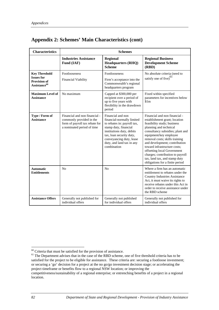|  | <b>Appendix 2: Schemes' Main Characteristics (cont)</b> |  |  |  |
|--|---------------------------------------------------------|--|--|--|
|--|---------------------------------------------------------|--|--|--|

| <b>Characteristics</b>                                                                       | <b>Schemes</b>                                                                                                            |                                                                                                                                                                                                                                          |                                                                                                                                                                                                                                                                                                                                                                                                                                 |
|----------------------------------------------------------------------------------------------|---------------------------------------------------------------------------------------------------------------------------|------------------------------------------------------------------------------------------------------------------------------------------------------------------------------------------------------------------------------------------|---------------------------------------------------------------------------------------------------------------------------------------------------------------------------------------------------------------------------------------------------------------------------------------------------------------------------------------------------------------------------------------------------------------------------------|
|                                                                                              | <b>Industries Assistance</b><br>Fund (IAF)                                                                                | <b>Regional</b><br><b>Headquarters (RHQ)</b><br><b>Scheme</b>                                                                                                                                                                            | <b>Regional Business</b><br><b>Development Scheme</b><br>(RBD)                                                                                                                                                                                                                                                                                                                                                                  |
| <b>Key Threshold</b><br><b>Issues for</b><br><b>Provision of</b><br>Assistance <sup>60</sup> | Footlooseness<br>Financial Viability                                                                                      | Footlooseness<br>Firm's acceptance into the<br>Commonwealth's regional<br>headquarters program                                                                                                                                           | No absolute criteria (need to<br>satisfy one of $five)^{61}$                                                                                                                                                                                                                                                                                                                                                                    |
| <b>Maximum Level of</b><br><b>Assistance</b>                                                 | No maximum                                                                                                                | Capped at \$300,000 per<br>recipient over a period of<br>up to five years with<br>flexibility in the drawdown<br>period                                                                                                                  | Fixed within specified<br>parameters for incentives below<br>\$1m                                                                                                                                                                                                                                                                                                                                                               |
| Type / Form of<br><b>Assistance</b>                                                          | Financial and non financial -<br>commonly provided in the<br>form of payroll tax rebate for<br>a nominated period of time | Financial and non<br>financial-normally limited<br>to rebates in: payroll tax,<br>stamp duty, financial<br>institutions duty, debits<br>tax, loan security duty,<br>conveyancing duty, lease<br>duty, and land tax in any<br>combination | Financial and non financial -<br>establishment grant; location<br>feasibility study; business<br>planning and technical<br>consultancy subsidies; plant and<br>equipment/key employee<br>removal costs; skills training<br>and development; contribution<br>toward infrastructure costs;<br>offsetting local Government<br>charges; contribution to payroll<br>tax, land tax, and stamp duty<br>obligations for a finite period |
| <b>Automatic</b><br><b>Entitlements</b>                                                      | N <sub>o</sub>                                                                                                            | N <sub>0</sub>                                                                                                                                                                                                                           | Where a firm has an automatic<br>entitlement to rebates under the<br><b>Country Industries Assistance</b><br>Act, it must waive its rights to<br>receive rebates under this Act in<br>order to receive assistance under<br>the RBD scheme                                                                                                                                                                                       |
| <b>Assistance Offers</b>                                                                     | Generally not published for<br>individual offers                                                                          | Generally not published<br>for individual offers                                                                                                                                                                                         | Generally not published for<br>individual offers                                                                                                                                                                                                                                                                                                                                                                                |

 $60$  Criteria that must be satisfied for the provision of assistance.

<sup>&</sup>lt;sup>61</sup> The Department advises that in the case of the RBD scheme, one of five threshold criteria has to be satisfied for the project to be eligible for assistance. These criteria are: securing a footloose investment; or securing a 'go' decision for a project at the no go/go investment decision stage; or accelerating the project timeframe or benefits flow to a regional NSW location; or improving the

competitiveness/sustainability of a regional enterprise; or entrenching benefits of a project in a regional location.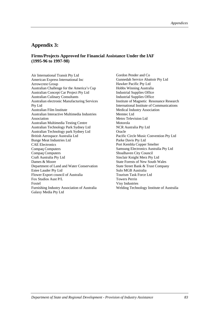### **Appendix 3:**

#### **Firms/Projects Approved for Financial Assistance Under the IAF (1995-96 to 1997-98)**

Air International Transit Pty Ltd American Express International Inc Arrowcrest Group Australian Challenge for the America's Cup Australian Concept Car Project Pty Ltd Australian Culinary Consultants Australian electronic Manufacturing Services Pty Ltd Australian Film Institute Australian Interactive Multimedia Industries Association Australian Multimedia Testing Centre Australian Technology Park Sydney Ltd Australian Technology park Sydney Ltd British Aerospace Australia Ltd Bunge Meat Industries Ltd CAE Electronics Compaq Computers Compaq Computers Craft Australia Pty Ltd Dames & Moore Department of Land and Water Conservation Estee Lauder Pty Ltd Flower Export council of Australia Fox Studios Aust P/L Foxtel Furnishing Industry Association of Australia Galaxy Media Pty Ltd

Gordon Pender and Co Gunnedah Service Abattoir Pty Ltd Hawker Pacific Pty Ltd Hobbs Winning Australia Industrial Supplies Office Industrial Supplies Office Institute of Magnetic Resonance Research International Institute of Communications Medical Industry Association Memtec Ltd Metro Television Ltd Motorola NCR Australia Pty Ltd **Oracle** Pacific Circle Music Convention Pty Ltd Parke Davis Pty Ltd Port Kembla Copper Smelter Samsung Electronics Australia Pty Ltd Shoalhaven City Council Sinclair Knight Merz Pty Ltd State Forests of New South Wales State Street Bank & Trust Company Sulo MGB Australia Tourism Task Force Ltd Towers Perrin Visy Industries Welding Technology Institute of Australia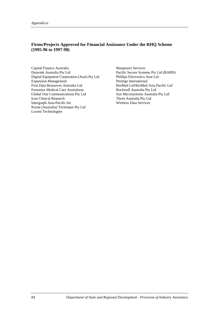### **Firms/Projects Approved for Financial Assistance Under the RHQ Scheme (1995-96 to 1997-98)**

Capital Finance Australia Daisytek Australia Pty Ltd Digital Equipment Corporation (Aust) Pty Ltd Expansion Management First Data Resources Australia Ltd Fresenius Medical Care Australasia Global One Communications Pty Ltd Icon Clinical Research Intergraph Asia-Pacific Inc Krone (Australia) Technique Pty Ltd Lucent Technologies

Manpower Services Pacific Secure Systems Pty Ltd (BABN) Phillips Electronics Aust Ltd Prestige International ResMed Ltd/ResMed Asia Pacific Ltd Rockwell Australia Pty Ltd Sun Microsystems Australia Pty Ltd Thorn Australia Pty Ltd Wireless Data Services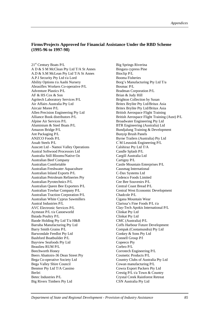#### **Firms/Projects Approved for Financial Assistance Under the RBD Scheme (1995-96 to 1997-98)**

21st Century Boats P/L A D & S M McClean Pty Ltd T/A St Annes A.D & S.M McLean Pty Ltd T/A St Annes A.P.I Security Pty Ltd t/a Lord Ability Options t/a Aashi Nursery Abrasiflex Workers Co-operative P/L Adventure Plastics P/L AF & HS Cox & Son Agritech Laboratory Services P/L Air Affairs Australia Pty Ltd Aircair Moree P/L Allen Precision Engineering Pty Ltd Alliance Book distributors P/L Alpine Air Services P/L Aluminium & Steel Boats P/L Amazon Bridge P/L Ant Packaging P/L ANZCO Foods P/L Assab Steels P/L Auscott Ltd - Namoi Valley Operations Austral Softwood Processors Ltd Australia Still Blooms/Native Oz Australian Beef Company Australian Comfortable Australian Freshwater Aquaculture Australian Inland Exports P/L Australian Petroleum Refineries Pty Australian Pyrotechnics P/L Australian Queen Bee Exporters P/L Australian Towbar Company P/L Australian Traction Corporation P/L Australian White Cyprus Sawmillers Austral Industries P/L AVC Electronic Services P/L Aymeast P/L t/a Canoeworld Baiada Poultry P/L Baode Holding Pty Ltd T/a H&B Barraba Manufacturing Pty Ltd Barry Smith Grains P/L Barwondale Feedlot Pty Ltd Bashford Boatbuilder P/L Bayview Seafoods Pty Ltd Beaulieu RUM P/L Beechworth Honey Beers Abattoirs-36 Dean Street Pty Bega Co-operative Society Ltd Bega Valley Shire Council Benmor Pty Ltd T/A Cassino Berlei Betec Industries P/L Big Rivers Timbers Pty Ltd

Big Springs Riverina Bingara cypress Pine Bioclip P/L Booma Fisheries Borg's Manufacturing Pty Ltd T/a Bosmac P/L Bradman Corporation P/L Brian & Judy Hill Brighton Collection by Susan Britex Brylite Pty Ltd/Britax Asia Britex Brylite Pty Ltd/Britax Asia British Aerospace Flight Training British Aerospace Flight Training (Aust) P/L Broadwater Engineering Pty Ltd BTR Engineering (Australia) Ltd Bundjalung Training & Development Bunyip Brush Panels Byrne Trailers (Australia) Pty Ltd C M Leussink Engineering P/L Calshiraz Pty Ltd T/A Candle Splash P/L Cargill Australia Ltd Cartigny P/L Castle Mountain Enterprises P/L Causmag International C-Dax Systems Ltd Cedenco Foods Limited Cee Bee Souvenirs P/L Central Coast Bread P/L Central West Economic Development Chadcole P/L Cigana Mountain Wear Clarissa's Fine Foods P/L t/a Clay-Tech Apokis International P/L Clinkat Pty Ltd Clinkat Pty Ltd CMC (Australia) P/L Coffs Harbour Future Development Compak (Cootamundra) Pty Ltd Conkey & Sons Pty Ltd Connell Group P/l Copeeco Pty Corbro P/L Corrotech Engineering P/L Cosmetic Products P/L Country Clubs of Australia Pty Ltd Cowan manufacturing P/L Cowra Export Packers Pty Ltd Crestig P/L t/a Town & Country Crystal Creek Rainforest Retreat CSN Australia Pty Ltd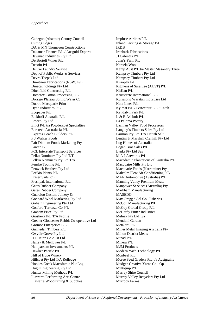Cudegon (Abattoir) County Council Cutting Edges DA & MN Thompson Constructions Dakamar Finance P/L / Ausgold Exports Dawmac Industries Pty Ltd De Bortoli Wines P/L Decoin P/L Deluxe Laundry Service Dept of Public Works & Services Devro Teepak Ltd Dimitriou Fabrications (NSW) P/L Dinacal holdings Pty Ltd Ditchfield Contracting P/L Domatex Cotton Processing P/L Dorrigo Plateau Spring Water Co Dubbo Macquarie Print Dyne Industries P/L Ecopaper P/L Eickhoff Australia P/L Emeco Pty Ltd Enict P/L t/a Powdercoat Specialties Enretech Australasia P/L Express Coach Builders P/L F J Walker Foods Fair Dinkum Foods Marketing Pty Fantap P/L FCL Interstate Transport Services Felko Nominees Pty Ltd T/T Felkro Nominees Pty Ltd T/A Fenske Tooling P/L Fenwick Brothers Pty Ltd ForBio Plants P/L Fraser Sails P/L Freshpak International P/L Gates Rubber Company Gates Rubber Company Gnaraloo Custom Joinery & Goddard Wool Marketing Pty Ltd Goliath Engineering Pty Ltd Gosford Terrazzo Co P/L Graham Price Pty Ltd Grasheka P/L T/A Profile Greater Gloucester Rabbit Co-operative Ltd Gromor Enterprises P/L Gunnedah Timbers P/L Gwydir Grove Pty Ltd H J Heinz Co Aust Ltd Halley & Mellowes P/L Hamparsum Investments P/L Hawker Pacific P/L Hill of Hope Winery Hillcoat Pty Ltd T/A Rolledge Hookes Creek Macadamia Nut Log Hugill Engineering Pty Ltd Hunter Mining Methods P/L Illawarra Performing Arts Centre Illawarra Woodturning & Supplies

Impluse Airlines P/L Inland Packing & Storage P/L **IRDB** Ironbark Fabrications JJ Cabinets P/L John's Farm P/L Kareela Wool Kemp Aust P/L t/a Master Masonary Taree Kempsey Timbers Pty Ltd Kempsey Timbers Pty Ltd Kirrapak P/L Kitchens of Sara Lee (AUST) P/L KitKan P/L Krusscrete International P/L Kurrajong Waratah Industries Ltd Kuta Lines P/L Kylmat P/L / Perfectour P/L / Catch Kyndalyn Park P/L L & R Ashbolt P/L La Paloma Pottery Lachlan Valley Food Processors Langley's Timbers Sales Pty Ltd Larmon Pty Ltd T/A Hattah Salt Lentini & Marshall Cranhill Pty Ltd Log Homes of Australia Logan Bros Sales P/L Lynks Pty Ltd t/as M A J Artworks P/L Macadamia Plantations of Australia P/L Macquaire Mills Pty Ltd Macquarie Foods (Narromine) Pty Malcolm Flew Air Conditioning P/L MAN Automotive (Australia) P/L Manning Valley Premium Meats Manpower Services (Australia) Pty Markham Manufacturing MASEDO Max Gregg / Gol Gol Fisheries McColl Manufacturing P/L McCoy Global Group P/L McHardy Pinter Industries Melnex Pty Ltd T/a Menduni Garden Metalert P/L Miller Metal Imaging Australia Pty Milton District Meats Minad P/L Minera P/L MJM Products Modern Yach Technology P/L Monbeef P/L Moree Seed Graders P/L t/a Austgrains Mudgee Creative Yarns Co - Op Multiquip P/L Murray Shire Council Murray Valley Recyclers Pty Ltd Murrook Farms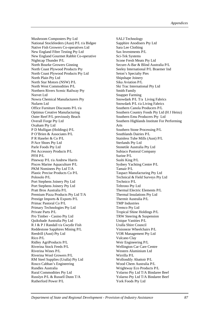Mushroom Composters Pty Ltd National Stockfeeders (Aust) P/L t/a Bidgee Native Fish Growers Co-operatives Ltd New England Fibre Testing Pty Ltd New England Gourmet Rabbit Co-operative Nightcap Thunder P/L North Bourke Growers Ginning North Coast Plywood Products Pty North Coast Plywood Products Pty Ltd North Plain Pty Ltd North Star Motors (NSW) P/L North West Commodities P/L Northern Rivers Scenic Railway Pty Norvet Ltd Nowra Chemical Manufacturers Pty Nufarm Ltd Office Furniture Discounts P/L t/a Optimus Creative Manufacturing Outer Reef P/L previously Beach Overall Forge Pty Ltd Oxaham Pty Ltd P D Mulligan (Holdings) P/L P O'Brien & Associates P/L P R Haseler & Co P/L P/Ace Shoes Pty Ltd Parle Foods Pty Ltd Pet Accessory Products P/L PFH P/L Pineway P/L t/a Andrew Harris Pisces Marine Aquaculture P/L PKM Nominees Pty Ltd T/A Plastic Precise Products Co P/L Polosolo P/L Port Stephens Joinery Pty Ltd Port Stephens Joinery Pty Ltd Pratt Bros Australia P/L Premium Pizza Products Pty Ltd T/A Prestige Imports & Exports P/L Primac Pastoral Co P/L Primary Technologies Pty Ltd Private Parts P/L Pro Timber - Casino Pty Ltd Quikshade Australia Pty Ltd R J & P J Randall t/a Gwydir Fish Reddestone Sapphires Mining P/L Reedrill (Aust) Pty Ltd Rico P/L Ridley AgriProducts P/L Riverina Stock Feeds P/L Riverina Wines P/L Riverina Wool Growers P/L RM Steel Supplies (Uralla) Pty Ltd Rosco Cabban's Engineering Rundles Australia Rural Commodities Pty Ltd Russlyn P/L & Russell Dunn T/A Rutherford Power P/L

SALJ Technology Sapphire Anodisers Pty Ltd Sara Lee Clothing Sax Investments P/L Sci-Tek Systems Scone Fresh Meats Pty Ltd Secure-A-Bar & Blind Australia P/L Seeley International P/L Braemer Ind Seton's Specialty Pies Shipshape Joinery Sika Aviation P/L Ski Trac International Pty Ltd Smith Family Snapper Farming Snowdark P/L T/a Living Fabrics Snowdark P/L t/a Living Fabrics Southern Canola Producers P/L Southern Country Foods Pty Ltd (H J Heinz) Southern Emu Producers Pty Ltd Southern Highlands Institute For Performing Arts Southern Stone Processing P/L Southlands Dairies P/L Stainless Tube Mills (Aust) P/L Sterlands Pty Ltd Stonetile Australia Pty Ltd Subiaco Pastoral Company Surine P/L Sushi King P/L Sydney Yachting Centre P/L Tamair P/L Taspact Manufacturing Pty Ltd Technical & Field Surveys Pty Ltd Technico P/L Teltrono Pty Ltd Thermal Electric Elements P/L Thermal Insulations Pty Ltd Thermit Australia P/L TMP Industries Tremco Pty Ltd Tropical Shine Holdings P/L TRW Steering & Suspension Unique Vanities P/L Uralla Shire Council Visioneze Wheelchairs P/L VOR Management Pty Ltd Vulcano Clay Weir Engineering P/L Wellington Car Care Centre Western Aluminium Ltd Wirrilla P/L Wollondily Abattoir P/L Wood Chem Australia P/L Wrightway Eco Products P/L Yolarno Pty Ltd T/A Bindaree Beef Yolarno Pty Ltd T/A Bindaree Beef York Foods Pty Ltd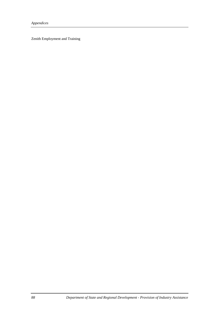Zenith Employment and Training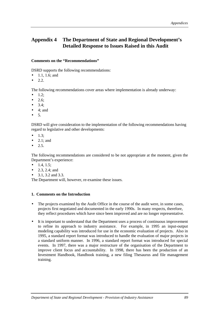## **Appendix 4 The Department of State and Regional Development's Detailed Response to Issues Raised in this Audit**

#### **Comments on the "Recommendations"**

DSRD supports the following recommendations:

- 1.1, 1.6; and
- 2.2.

The following recommendations cover areas where implementation is already underway:

- 1.2;
- 2.6;
- $3.4:$
- $\bullet$  4; and
- 5.

DSRD will give consideration to the implementation of the following recommendations having regard to legislative and other developments:

- $\bullet$  1.3;
- 2.1; and
- 2.5.

The following recommendations are considered to be not appropriate at the moment, given the Department's experience:

- 1.4, 1.5;
- 2.3, 2.4; and
- 3.1, 3.2 and 3.3.

The Department will, however, re-examine these issues.

#### **1. Comments on the Introduction**

- The projects examined by the Audit Office in the course of the audit were, in some cases, projects first negotiated and documented in the early 1990s. In many respects, therefore, they reflect procedures which have since been improved and are no longer representative.
- It is important to understand that the Department uses a process of continuous improvement to refine its approach to industry assistance. For example, in 1995 an input-output modeling capability was introduced for use in the economic evaluation of projects. Also in 1995, a standard report format was introduced to handle the evaluation of major projects in a standard uniform manner. In 1996, a standard report format was introduced for special events. In 1997, there was a major restructure of the organisation of the Department to improve client focus and accountability. In 1998, there has been the production of an Investment Handbook, Handbook training, a new filing Thesaurus and file management training.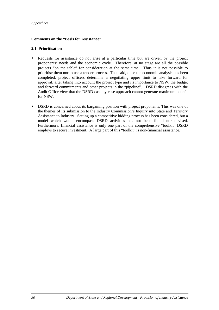#### **Comments on the "Basis for Assistance"**

#### **2.1 Prioritisation**

- Requests for assistance do not arise at a particular time but are driven by the project proponents' needs and the economic cycle. Therefore, at no stage are all the possible projects "on the table" for consideration at the same time. Thus it is not possible to prioritise them nor to use a tender process. That said, once the economic analysis has been completed, project officers determine a negotiating upper limit to take forward for approval, after taking into account the project type and its importance to NSW, the budget and forward commitments and other projects in the "pipeline". DSRD disagrees with the Audit Office view that the DSRD case-by-case approach cannot generate maximum benefit for NSW.
- DSRD is concerned about its bargaining position with project proponents. This was one of the themes of its submission to the Industry Commission's Inquiry into State and Territory Assistance to Industry. Setting up a competitive bidding process has been considered, but a model which would encompass DSRD activities has not been found nor devised. Furthermore, financial assistance is only one part of the comprehensive "toolkit" DSRD employs to secure investment. A large part of this "toolkit" is non-financial assistance.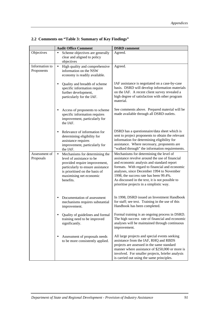|                            | <b>Audit Office Comment</b>                                                                                                                                                                                              | <b>DSRD</b> comment                                                                                                                                                                                                                                                                                                                                                            |
|----------------------------|--------------------------------------------------------------------------------------------------------------------------------------------------------------------------------------------------------------------------|--------------------------------------------------------------------------------------------------------------------------------------------------------------------------------------------------------------------------------------------------------------------------------------------------------------------------------------------------------------------------------|
| Objectives                 | Scheme objectives are generally<br>$\bullet$                                                                                                                                                                             | Agreed.                                                                                                                                                                                                                                                                                                                                                                        |
|                            | clear and aligned to policy<br>objectives                                                                                                                                                                                |                                                                                                                                                                                                                                                                                                                                                                                |
| Information to             | High quality and comprehensive<br>$\bullet$                                                                                                                                                                              | Agreed.                                                                                                                                                                                                                                                                                                                                                                        |
| Proponents                 | information on the NSW<br>economy is readily available.                                                                                                                                                                  |                                                                                                                                                                                                                                                                                                                                                                                |
|                            | Quality and breadth of scheme<br>$\bullet$<br>specific information require<br>further development,<br>particularly for the IAF.                                                                                          | IAF assistance is negotiated on a case-by-case<br>basis. DSRD will develop information materials<br>on the IAF. A recent client survey revealed a<br>high degree of satisfaction with other program<br>material.                                                                                                                                                               |
|                            | Access of proponents to scheme<br>$\bullet$<br>specific information requires<br>improvement, particularly for<br>the IAF.                                                                                                | See comments above. Prepared material will be<br>made available through all DSRD outlets.                                                                                                                                                                                                                                                                                      |
|                            | Relevance of information for<br>$\bullet$<br>determining eligibility for<br>assistance requires<br>improvement, particularly for<br>the IAF.                                                                             | DSRD has a questionnaire/data sheet which is<br>sent to project proponents to obtain the relevant<br>information for determining eligibility for<br>assistance. Where necessary, proponents are<br>"walked through" the information requirements.                                                                                                                              |
| Assessment of<br>Proposals | Mechanisms for determining the<br>$\bullet$<br>level of assistance to be<br>provided require improvement,<br>particularly to ensure assistance<br>is prioritised on the basis of<br>maximising net economic<br>benefits. | Mechanisms for determining the level of<br>assistance revolve around the use of financial<br>and economic analysis and standard report<br>formats. With regard to financial and economic<br>analyses, since December 1994 to November<br>1998, the success rate has been 99.4%.<br>As discussed in the text, it is not possible to<br>prioritise projects in a simplistic way. |
|                            | Documentation of assessment<br>٠<br>mechanisms requires substantial<br>improvement.                                                                                                                                      | In 1998, DSRD issued an Investment Handbook<br>for staff; see text. Training in the use of this<br>Handbook has been completed.                                                                                                                                                                                                                                                |
|                            | Quality of guidelines and formal<br>٠<br>training need to be improved<br>significantly.                                                                                                                                  | Formal training is an ongoing process in DSRD.<br>The high success rate of financial and economic<br>analyses will be maintained through continuous<br>improvement.                                                                                                                                                                                                            |
|                            | Assessment of proposals needs<br>to be more consistently applied.                                                                                                                                                        | All large projects and special events seeking<br>assistance from the IAF, RHQ and RBDS<br>projects are assessed in the same standard<br>manner where assistance of \$250,000 or more is<br>involved. For smaller projects, briefer analysis<br>is carried out using the same principles.                                                                                       |

# **2.2 Comments on "Table 3: Summary of Key Findings"**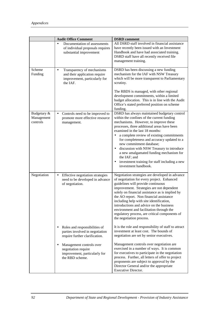|                                       | <b>Audit Office Comment</b>                                                                                           | <b>DSRD</b> comment                                                                                                                                                                                                                                                                                                                                                                                                                                                                                                                                                  |
|---------------------------------------|-----------------------------------------------------------------------------------------------------------------------|----------------------------------------------------------------------------------------------------------------------------------------------------------------------------------------------------------------------------------------------------------------------------------------------------------------------------------------------------------------------------------------------------------------------------------------------------------------------------------------------------------------------------------------------------------------------|
|                                       | Documentation of assessments<br>$\bullet$<br>of individual proposals requires<br>substantial improvement              | All DSRD staff involved in financial assistance<br>have recently been issued with an Investment<br>Handbook and have had associated training.<br>DSRD staff have all recently received file<br>management training.                                                                                                                                                                                                                                                                                                                                                  |
| Scheme<br>Funding                     | Transparency of mechanisms<br>$\bullet$<br>and their application require<br>improvement, particularly for<br>the IAF. | DSRD has been discussing a new funding<br>mechanism for the IAF with NSW Treasury<br>which will be more transparent to Parliamentary<br>scrutiny.<br>The RBDS is managed, with other regional                                                                                                                                                                                                                                                                                                                                                                        |
|                                       |                                                                                                                       | development commitments, within a limited<br>budget allocation. This is in line with the Audit<br>Office's stated preferred position on scheme<br>funding.                                                                                                                                                                                                                                                                                                                                                                                                           |
| Budgetary &<br>Management<br>controls | Controls need to be improved to<br>$\bullet$<br>promote more effective resource<br>management.                        | DSRD has always maintained budgetary control<br>within the confines of the current funding<br>mechanisms. However, to improve these<br>processes, three additional areas have been<br>examined in the last 18 months:<br>a complete review of existing commitments<br>$\bullet$<br>for completeness and accuracy updated to a<br>new commitment database;<br>discussion with NSW Treasury to introduce<br>$\bullet$<br>a new amalgamated funding mechanism for<br>the IAF; and<br>investment training for staff including a new<br>$\bullet$<br>investment handbook. |
| Negotiation                           | Effective negotiation strategies<br>$\bullet$<br>need to be developed in advance<br>of negotiation.                   | Negotiation strategies are developed in advance<br>of negotiation for every project. Enhanced<br>guidelines will provide continuous<br>improvement. Strategies are not dependent<br>solely on financial assistance as is implied by<br>the AO report. Non financial assistance<br>including help with site identification,<br>introductions and advice on the business<br>environment and facilitation through the<br>regulatory process, are critical components of<br>the negotiation process.                                                                     |
|                                       | Roles and responsibilities of<br>parties involved in negotiation<br>require further clarification.                    | It is the role and responsibility of staff to attract<br>investment at least cost. The bounds of<br>negotiation are set by senior executives.                                                                                                                                                                                                                                                                                                                                                                                                                        |
|                                       | Management controls over<br>negotiation require<br>improvement, particularly for<br>the RBD scheme.                   | Management controls over negotiation are<br>exercised in a number of ways. It is common<br>for executives to participate in the negotiation<br>process. Further, all letters of offer to project<br>proponents are subject to approval by the<br>Director General and/or the appropriate<br>Executive Director.                                                                                                                                                                                                                                                      |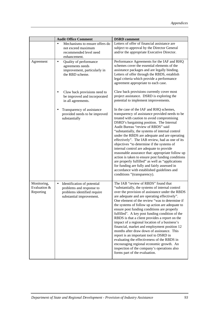|                                          | <b>Audit Office Comment</b>                                                                                                     | <b>DSRD</b> comment                                                                                                                                                                                                                                                                                                                                                                                                                                                                                                                                                                                                                                                                                                                                                                                                    |
|------------------------------------------|---------------------------------------------------------------------------------------------------------------------------------|------------------------------------------------------------------------------------------------------------------------------------------------------------------------------------------------------------------------------------------------------------------------------------------------------------------------------------------------------------------------------------------------------------------------------------------------------------------------------------------------------------------------------------------------------------------------------------------------------------------------------------------------------------------------------------------------------------------------------------------------------------------------------------------------------------------------|
|                                          | Mechanisms to ensure offers do<br>$\bullet$<br>not exceed maximum<br>recommended level need<br>enhancement.                     | Letters of offer of financial assistance are<br>subject to approval by the Director General<br>and/or the appropriate Executive Director.                                                                                                                                                                                                                                                                                                                                                                                                                                                                                                                                                                                                                                                                              |
| Agreement                                | Quality of performance<br>$\bullet$<br>agreements needs<br>improvement, particularly in<br>the RBD scheme.                      | Performance Agreements for the IAF and RHQ<br>schemes cover the essential elements of the<br>assistance packages and are legally binding.<br>Letters of offer through the RBDS, establish<br>legal criteria which provide a performance<br>agreement appropriate to each case.                                                                                                                                                                                                                                                                                                                                                                                                                                                                                                                                         |
|                                          | Claw back provisions need to<br>be improved and incorporated<br>in all agreements.                                              | Claw back provisions currently cover most<br>project assistance. DSRD is exploring the<br>potential to implement improvements.                                                                                                                                                                                                                                                                                                                                                                                                                                                                                                                                                                                                                                                                                         |
|                                          | Transparency of assistance<br>provided needs to be improved<br>substantially                                                    | In the case of the IAF and RHQ schemes,<br>transparency of assistance provided needs to be<br>treated with caution to avoid compromising<br>DSRD's bargaining position. The Internal<br>Audit Bureau "review of RBDS" said<br>"substantially, the systems of internal control<br>under the RBDS are adequate and are operating<br>effectively". The IAB review, had as one of its<br>objectives "to determine if the systems of<br>internal control are adequate to provide<br>reasonable assurance that: appropriate follow up<br>action is taken to ensure post funding conditions<br>are properly fulfilled" as well as "applications<br>for funding are fully and fairly assessed in<br>accordance with established guidelines and<br>conditions "(transparency).                                                  |
| Monitoring,<br>Evaluation &<br>Reporting | Identification of potential<br>$\bullet$<br>problems and response to<br>problems identified require<br>substantial improvement. | The IAB "review of RBDS" found that<br>"substantially, the systems of internal control<br>over the provision of assistance under the RBDS<br>are adequate and are operating effectively".<br>One element of the review "was to determine if<br>the systems of follow up action are adequate to<br>ensure post funding conditions are properly<br>fulfilled". A key post funding condition of the<br>RBDS is that a client provides a report on the<br>impact of a regional location of a business's<br>financial, market and employment position 12<br>months after draw down of assistance. This<br>report is an important tool to DSRD in<br>evaluating the effectiveness of the RBDS in<br>encouraging regional economic growth. An<br>inspection of the company's operations also<br>forms part of the evaluation. |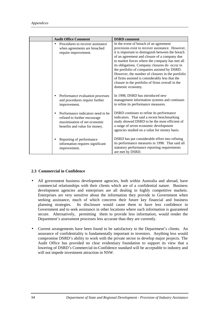|           | <b>Audit Office Comment</b>                                                                                                        | <b>DSRD</b> comment                                                                                                                                                                                                                                                                                                                                                                                                                                                                                                                |
|-----------|------------------------------------------------------------------------------------------------------------------------------------|------------------------------------------------------------------------------------------------------------------------------------------------------------------------------------------------------------------------------------------------------------------------------------------------------------------------------------------------------------------------------------------------------------------------------------------------------------------------------------------------------------------------------------|
|           | Procedures to recover assistance<br>when agreements are breached<br>require improvement.                                           | In the event of breach of an agreement<br>provisions exist to recover assistance. However,<br>it is important to distinguish between the breach<br>of an agreement and closure of a company due<br>to market forces where the company has met all<br>its obligations. Company closures do occur in<br>the portfolio of companies assisted by DSRD.<br>However, the number of closures in the portfolio<br>of firms assisted is considerably less that the<br>closure in the portfolio of firms overall in the<br>domestic economy. |
| $\bullet$ | Performance evaluation processes<br>and procedures require further<br>improvement.                                                 | In 1998, DSRD has introduced new<br>management information systems and continues<br>to refine its performance measures.                                                                                                                                                                                                                                                                                                                                                                                                            |
|           | Performance indicators need to be<br>refined to further encourage<br>maximisation of net economic<br>benefits and value for money. | DSRD continues to refine its performance<br>indicators. That said a recent benchmarking<br>study showed DSRD to be the most efficient of<br>a range of seven economic development<br>agencies studied on a value for money basis.                                                                                                                                                                                                                                                                                                  |
|           | Reporting of performance<br>information requires significant<br>improvement.                                                       | DSRD has put considerable effort into refining<br>its performance measures in 1998. That said all<br>statutory performance reporting requirements<br>are met by DSRD.                                                                                                                                                                                                                                                                                                                                                              |

#### **2.3 Commercial in Confidence**

- All government business development agencies, both within Australia and abroad, have commercial relationships with their clients which are of a confidential nature. Business development agencies and enterprises are all dealing in highly competitive markets. Enterprises are very sensitive about the information they provide to Government when seeking assistance, much of which concerns their future key financial and business planning strategies. Its disclosure would cause them to have less confidence in Government and to seek assistance in other locations where such information is guaranteed secure. Alternatively, permitting them to provide less information, would render the Department's assessment processes less accurate than they are currently.
- Current arrangements have been found to be satisfactory to the Department's clients. An assurance of confidentiality is fundamentally important to investors. Anything less would compromise DSRD's ability to work with the private sector to develop major projects. The Audit Office has provided no clear evidentiary foundation to support its view that a lowering of DSRD's Commercial-in-Confidence standard will be acceptable to industry and will not impede investment attraction in NSW.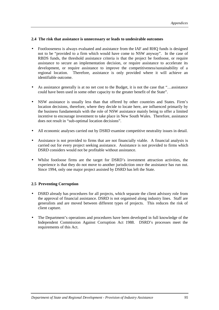#### **2.4 The risk that assistance is unnecessary or leads to undesirable outcomes**

- Footlooseness is always evaluated and assistance from the IAF and RHQ funds is designed not to be "provided to a firm which would have come to NSW anyway". In the case of RBDS funds, the threshold assistance criteria is that the project be footloose, or require assistance to secure an implementation decision, or require assistance to accelerate its development, or require assistance to improve the competitiveness/sustainability of a regional location. Therefore, assistance is only provided where it will achieve an identifiable outcome.
- As assistance generally is at no net cost to the Budget, it is not the case that "...assistance" could have been used in some other capacity to the greater benefit of the State".
- NSW assistance is usually less than that offered by other countries and States. Firm's location decisions, therefore, where they decide to locate here, are influenced primarily by the business fundamentals with the role of NSW assistance mainly being to offer a limited incentive to encourage investment to take place in New South Wales. Therefore, assistance does not result in "sub-optimal location decisions".
- All economic analyses carried out by DSRD examine competitive neutrality issues in detail.
- Assistance is not provided to firms that are not financially viable. A financial analysis is carried out for every project seeking assistance. Assistance is not provided to firms which DSRD considers would not be profitable without assistance.
- Whilst footloose firms are the target for DSRD's investment attraction activities, the experience is that they do not move to another jurisdiction once the assistance has run out. Since 1994, only one major project assisted by DSRD has left the State.

#### **2.5 Preventing Corruption**

- DSRD already has procedures for all projects, which separate the client advisory role from the approval of financial assistance. DSRD is not organised along industry lines. Staff are generalists and are moved between different types of projects. This reduces the risk of client capture.
- The Department's operations and procedures have been developed in full knowledge of the Independent Commission Against Corruption Act 1988. DSRD's processes meet the requirements of this Act.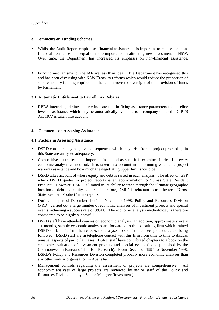#### **3. Comments on Funding Schemes**

- Whilst the Audit Report emphasises financial assistance, it is important to realise that nonfinancial assistance is of equal or more importance in attracting new investment to NSW. Over time, the Department has increased its emphasis on non-financial assistance.
- Funding mechanisms for the IAF are less than ideal. The Department has recognised this and has been discussing with NSW Treasury reforms which would reduce the proportion of supplementary funding required and hence improve the oversight of the provision of funds by Parliament.

#### **3.1 Automatic Entitlement to Payroll Tax Rebates**

• RBDS internal guidelines clearly indicate that in fixing assistance parameters the baseline level of assistance which may be automatically available to a company under the CIPTR Act 1977 is taken into account.

#### **4. Comments on Assessing Assistance**

#### **4.1 Factors in Assessing Assistance**

- DSRD considers any negative consequences which may arise from a project proceeding in this State are analysed adequately.
- Competitive neutrality is an important issue and as such it is examined in detail in every economic analysis carried out. It is taken into account in determining whether a project warrants assistance and how much the negotiating upper limit should be.
- DSRD takes account of where equity and debt is raised in each analysis. The effect on GSP which DSRD quotes in project reports is an approximation to "Gross State Resident Product". However, DSRD is limited in its ability to trace through the ultimate geographic location of debt and equity holders. Therefore, DSRD is reluctant to use the term "Gross State Resident Product" in its reports.
- During the period December 1994 to November 1998, Policy and Resources Division (PRD), carried out a large number of economic analyses of investment projects and special events, achieving a success rate of 99.4%. The economic analysis methodology is therefore considered to be highly successful.
- DSRD staff have attended courses on economic analysis. In addition, approximately every six months, sample economic analyses are forwarded to the consulting firm which trained DSRD staff. This firm then checks the analyses to see if the correct procedures are being followed. DSRD staff are in telephone contact with this firm from time to time to discuss unusual aspects of particular cases. DSRD staff have contributed chapters to a book on the economic evaluation of investment projects and special events (to be published by the Commonwealth Bureau of Tourism Research). From December 1994 to November 1998, DSRD's Policy and Resources Division completed probably more economic analyses than any other similar organisation in Australia.
- Management controls regarding the assessment of projects are comprehensive. All economic analyses of large projects are reviewed by senior staff of the Policy and Resources Division and by a Senior Manager (Investment).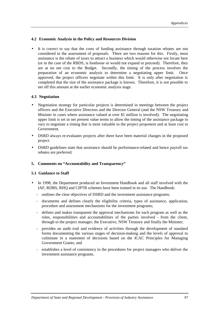#### **4.2 Economic Analysis in the Policy and Resources Division**

It is correct to say that the costs of funding assistance through taxation rebates are not considered in the assessment of proposals. There are two reasons for this. Firstly, most assistance is the rebate of taxes to attract a business which would otherwise not locate here (or in the case of the RBDS, is footloose or would not expand or proceed). Therefore, they are at no net cost to the Budget. Secondly, the timing of the process involves the preparation of an economic analysis to determine a negotiating upper limit. Once approved, the project officers negotiate within this limit. It is only after negotiation is completed that the size of the assistance package is known. Therefore, it is not possible to net off this amount at the earlier economic analysis stage.

#### **4.3 Negotiation**

- Negotiation strategy for particular projects is determined in meetings between the project officers and the Executive Directors and the Director General (and the NSW Treasury and Minister in cases where assistance valued at over \$1 million is involved). The negotiating upper limit is set in net present value terms to allow the timing of the assistance package to vary to negotiate a timing that is most valuable to the project proponent and at least cost to Government.
- DSRD always re-evaluates projects after there have been material changes in the proposed project.
- DSRD guidelines state that assistance should be performance-related and hence payroll tax rebates are preferred.

#### **5. Comments on "Accountability and Transparency"**

#### **5.1 Guidance to Staff**

- In 1998, the Department produced an Investment Handbook and all staff involved with the IAF, RDBS, RHQ and CIPTR schemes have been trained in its use. The Handbook:
	- outlines the clear objectives of DSRD and the investment assistance programs;
	- documents and defines clearly the eligibility criteria, types of assistance, application, procedure and assessment mechanisms for the investment programs;
	- defines and makes transparent the approval mechanisms for each program as well as the roles, responsibilities and accountabilities of the parties involved - from the client, through to the project manager, the Executive, NSW Treasury and finally the Minister;
	- provides an audit trail and evidence of activities through the development of standard forms documenting the various stages of decision-making and the levels of approval to culminate in a statement of decisions based on the ICAC Principles for Managing Government Grants; and
	- establishes a level of consistency in the procedures for project managers who deliver the investment assistance programs.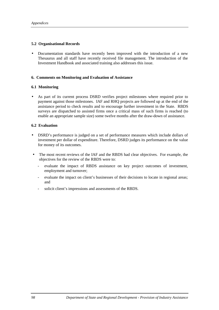#### **5.2 Organisational Records**

• Documentation standards have recently been improved with the introduction of a new Thesaurus and all staff have recently received file management. The introduction of the Investment Handbook and associated training also addresses this issue.

#### **6. Comments on Monitoring and Evaluation of Assistance**

#### **6.1 Monitoring**

As part of its current process DSRD verifies project milestones where required prior to payment against those milestones. IAF and RHQ projects are followed up at the end of the assistance period to check results and to encourage further investment in the State. RBDS surveys are dispatched to assisted firms once a critical mass of such firms is reached (to enable an appropriate sample size) some twelve months after the draw-down of assistance.

#### **6.2 Evaluation**

- DSRD's performance is judged on a set of performance measures which include dollars of investment per dollar of expenditure. Therefore, DSRD judges its performance on the value for money of its outcomes.
- The most recent reviews of the IAF and the RBDS had clear objectives. For example, the objectives for the review of the RBDS were to:
	- evaluate the impact of RBDS assistance on key project outcomes of investment, employment and turnover;
	- evaluate the impact on client's businesses of their decisions to locate in regional areas; and
	- solicit client's impressions and assessments of the RBDS.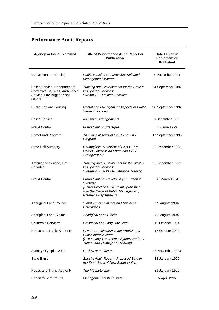# **Performance Audit Reports**

| <b>Agency or Issue Examined</b>                                                                                | Title of Performance Audit Report or<br><b>Publication</b>                                                                                                       | Date Tabled in<br><b>Parliament or</b><br><b>Published</b> |
|----------------------------------------------------------------------------------------------------------------|------------------------------------------------------------------------------------------------------------------------------------------------------------------|------------------------------------------------------------|
| Department of Housing                                                                                          | <b>Public Housing Construction: Selected</b><br><b>Management Matters</b>                                                                                        | 5 December 1991                                            |
| Police Service, Department of<br>Corrective Services, Ambulance<br>Service, Fire Brigades and<br><b>Others</b> | Training and Development for the State's<br><b>Disciplined Services:</b><br>Stream 1 - Training Facilities                                                       | 24 September 1992                                          |
| <b>Public Servant Housing</b>                                                                                  | Rental and Management Aspects of Public<br><b>Servant Housing</b>                                                                                                | 28 September 1992                                          |
| <b>Police Service</b>                                                                                          | Air Travel Arrangements                                                                                                                                          | 8 December 1992                                            |
| <b>Fraud Control</b>                                                                                           | <b>Fraud Control Strategies</b>                                                                                                                                  | 15 June 1993                                               |
| HomeFund Program                                                                                               | The Special Audit of the HomeFund<br>Program                                                                                                                     | 17 September 1993                                          |
| <b>State Rail Authority</b>                                                                                    | Countrylink: A Review of Costs, Fare<br>Levels, Concession Fares and CSO<br>Arrangements                                                                         | 10 December 1993                                           |
| Ambulance Service, Fire<br><b>Brigades</b>                                                                     | Training and Development for the State's<br><b>Disciplined Services:</b><br>Stream 2 - Skills Maintenance Training                                               | 13 December 1993                                           |
| <b>Fraud Control</b>                                                                                           | Fraud Control: Developing an Effective<br>Strategy<br>(Better Practice Guide jointly published<br>with the Office of Public Management,<br>Premier's Department) | 30 March 1994                                              |
| Aboriginal Land Council                                                                                        | <b>Statutory Investments and Business</b><br>Enterprises                                                                                                         | 31 August 1994                                             |
| Aboriginal Land Claims                                                                                         | <b>Aboriginal Land Claims</b>                                                                                                                                    | 31 August 1994                                             |
| <b>Children's Services</b>                                                                                     | Preschool and Long Day Care                                                                                                                                      | 10 October 1994                                            |
| Roads and Traffic Authority                                                                                    | Private Participation in the Provision of<br>Public Infrastructure<br>(Accounting Treatments; Sydney Harbour<br>Tunnel; M4 Tollway; M5 Tollway)                  | 17 October 1994                                            |
| Sydney Olympics 2000                                                                                           | <b>Review of Estimates</b>                                                                                                                                       | 18 November 1994                                           |
| <b>State Bank</b>                                                                                              | Special Audit Report: Proposed Sale of<br>the State Bank of New South Wales                                                                                      | 13 January 1995                                            |
| Roads and Traffic Authority                                                                                    | The M2 Motorway                                                                                                                                                  | 31 January 1995                                            |
| Department of Courts                                                                                           | Management of the Courts:                                                                                                                                        | 5 April 1995                                               |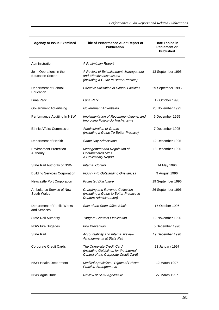| <b>Agency or Issue Examined</b>                    | Title of Performance Audit Report or<br><b>Publication</b>                                                   | Date Tabled in<br><b>Parliament or</b><br><b>Published</b> |
|----------------------------------------------------|--------------------------------------------------------------------------------------------------------------|------------------------------------------------------------|
| Administration                                     | A Preliminary Report                                                                                         |                                                            |
| Joint Operations in the<br><b>Education Sector</b> | A Review of Establishment, Management<br>and Effectiveness Issues<br>(including a Guide to Better Practice)  | 13 September 1995                                          |
| Department of School<br>Education                  | <b>Effective Utilisation of School Facilities</b>                                                            | 29 September 1995                                          |
| Luna Park                                          | Luna Park                                                                                                    | 12 October 1995                                            |
| <b>Government Advertising</b>                      | <b>Government Advertising</b>                                                                                | 23 November 1995                                           |
| Performance Auditing In NSW                        | Implementation of Recommendations; and<br>Improving Follow-Up Mechanisms                                     | 6 December 1995                                            |
| <b>Ethnic Affairs Commission</b>                   | <b>Administration of Grants</b><br>(including a Guide To Better Practice)                                    | 7 December 1995                                            |
| Department of Health                               | Same Day Admissions                                                                                          | 12 December 1995                                           |
| <b>Environment Protection</b><br>Authority         | Management and Regulation of<br><b>Contaminated Sites:</b><br>A Preliminary Report                           | 18 December 1995                                           |
| State Rail Authority of NSW                        | <b>Internal Control</b>                                                                                      | 14 May 1996                                                |
| <b>Building Services Corporation</b>               | Inquiry into Outstanding Grievances                                                                          | 9 August 1996                                              |
| Newcastle Port Corporation                         | <b>Protected Disclosure</b>                                                                                  | 19 September 1996                                          |
| Ambulance Service of New<br>South Wales            | Charging and Revenue Collection<br>(including a Guide to Better Practice in<br>Debtors Administration)       | 26 September 1996                                          |
| Department of Public Works<br>and Services         | Sale of the State Office Block                                                                               | 17 October 1996                                            |
| <b>State Rail Authority</b>                        | <b>Tangara Contract Finalisation</b>                                                                         | 19 November 1996                                           |
| <b>NSW Fire Brigades</b>                           | <b>Fire Prevention</b>                                                                                       | 5 December 1996                                            |
| <b>State Rail</b>                                  | Accountability and Internal Review<br>Arrangements at State Rail                                             | 19 December 1996                                           |
| <b>Corporate Credit Cards</b>                      | The Corporate Credit Card<br>(including Guidelines for the Internal<br>Control of the Corporate Credit Card) | 23 January 1997                                            |
| <b>NSW Health Department</b>                       | Medical Specialists: Rights of Private<br><b>Practice Arrangements</b>                                       | 12 March 1997                                              |
| <b>NSW Agriculture</b>                             | <b>Review of NSW Agriculture</b>                                                                             | 27 March 1997                                              |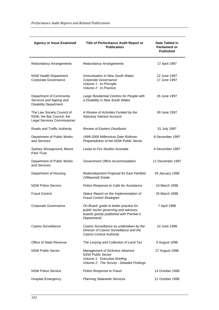| <b>Agency or Issue Examined</b>                                                        | Title of Performance Audit Report or<br><b>Publication</b>                                                                                    | Date Tabled in<br><b>Parliament or</b><br><b>Published</b> |
|----------------------------------------------------------------------------------------|-----------------------------------------------------------------------------------------------------------------------------------------------|------------------------------------------------------------|
| <b>Redundancy Arrangements</b>                                                         | <b>Redundancy Arrangements</b>                                                                                                                | 17 April 1997                                              |
| <b>NSW Health Department</b><br>Corporate Governance                                   | <b>Immunisation in New South Wales</b><br>Corporate Governance<br>Volume 1 : In Principle<br>Volume 2 : In Practice                           | 12 June 1997<br>17 June 1997                               |
| Department of Community<br>Services and Ageing and<br><b>Disability Department</b>     | Large Residential Centres for People with<br>a Disability in New South Wales                                                                  | 26 June 1997                                               |
| The Law Society Council of<br>NSW, the Bar Council, the<br>Legal Services Commissioner | A Review of Activities Funded by the<br><b>Statutory Interest Account</b>                                                                     | 30 June 1997                                               |
| Roads and Traffic Authority                                                            | <b>Review of Eastern Distributor</b>                                                                                                          | 31 July 1997                                               |
| Department of Public Works<br>and Services                                             | 1999-2000 Millennium Date Rollover:<br>Preparedness of the NSW Public Sector                                                                  | 8 December 1997                                            |
| Sydney Showground, Moore<br>Park Trust                                                 | Lease to Fox Studios Australia                                                                                                                | 8 December 1997                                            |
| Department of Public Works<br>and Services                                             | Government Office Accommodation                                                                                                               | 11 December 1997                                           |
| Department of Housing                                                                  | Redevelopment Proposal for East Fairfield<br>(Villawood) Estate                                                                               | 29 January 1998                                            |
| <b>NSW Police Service</b>                                                              | Police Response to Calls for Assistance                                                                                                       | 10 March 1998                                              |
| <b>Fraud Control</b>                                                                   | Status Report on the Implementation of<br><b>Fraud Control Strategies</b>                                                                     | 25 March 1998                                              |
| Corporate Governance                                                                   | On Board: guide to better practice for<br>public sector governing and advisory<br>boards (jointly published with Premier's<br>Department)     | 7 April 1998                                               |
| Casino Surveillance                                                                    | Casino Surveillance as undertaken by the<br>Director of Casino Surveillance and the<br>Casino Control Authority                               | 10 June 1998                                               |
| Office of State Revenue                                                                | The Levying and Collection of Land Tax                                                                                                        | 5 August 1998                                              |
| <b>NSW Public Sector</b>                                                               | <b>Management of Sickness Absence</b><br><b>NSW Public Sector</b><br>Volume 1: Executive Briefing<br>Volume 2: The Survey - Detailed Findings | 27 August 1998                                             |
| <b>NSW Police Service</b>                                                              | Police Response to Fraud                                                                                                                      | 14 October 1998                                            |
| <b>Hospital Emergency</b>                                                              | <b>Planning Statewide Services</b>                                                                                                            | 21 October 1998                                            |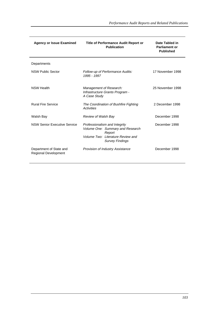| <b>Agency or Issue Examined</b>                        | <b>Title of Performance Audit Report or</b><br><b>Publication</b>                                                                          | Date Tabled in<br><b>Parliament or</b><br><b>Published</b> |
|--------------------------------------------------------|--------------------------------------------------------------------------------------------------------------------------------------------|------------------------------------------------------------|
| Departments                                            |                                                                                                                                            |                                                            |
| <b>NSW Public Sector</b>                               | Follow-up of Performance Audits:<br>1995 - 1997                                                                                            | 17 November 1998                                           |
| <b>NSW Health</b>                                      | Management of Research:<br>Infrastructure Grants Program -<br>A Case Study                                                                 | 25 November 1998                                           |
| <b>Rural Fire Service</b>                              | The Coordination of Bushfire Fighting<br>Activities                                                                                        | 2 December 1998                                            |
| Walsh Bay                                              | <b>Review of Walsh Bay</b>                                                                                                                 | December 1998                                              |
| <b>NSW Senior Executive Service</b>                    | Professionalism and Integrity<br>Volume One: Summary and Research<br>Report<br>Volume Two: Literature Review and<br><b>Survey Findings</b> | December 1998                                              |
| Department of State and<br><b>Regional Development</b> | <b>Provision of Industry Assistance</b>                                                                                                    | December 1998                                              |